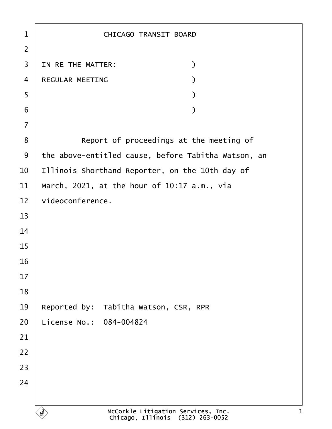| 1              | <b>CHICAGO TRANSIT BOARD</b>                        |
|----------------|-----------------------------------------------------|
| $\overline{2}$ |                                                     |
| 3              | IN RE THE MATTER:<br>$\mathcal{E}$                  |
| $\overline{4}$ | <b>REGULAR MEETING</b>                              |
| 5              |                                                     |
| 6              |                                                     |
| $\overline{7}$ |                                                     |
| 8              | Report of proceedings at the meeting of             |
| 9              | the above-entitled cause, before Tabitha Watson, an |
| 10             | Illinois Shorthand Reporter, on the 10th day of     |
| 11             | March, 2021, at the hour of 10:17 a.m., via         |
| 12             | videoconference.                                    |
| 13             |                                                     |
| 14             |                                                     |
| 15             |                                                     |
| 16             |                                                     |
| 17             |                                                     |
| 18             |                                                     |
| 19             | Reported by: Tabitha Watson, CSR, RPR               |
| 20             | License No.: 084-004824                             |
| 21             |                                                     |
| 22             |                                                     |
| 23             |                                                     |
| 24             |                                                     |
|                |                                                     |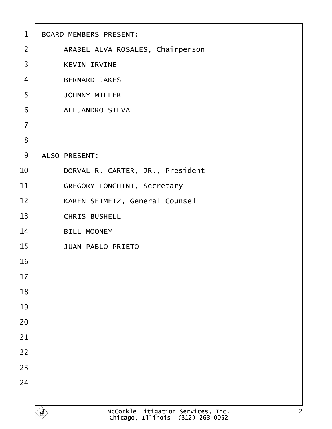| $\mathbf 1$    | <b>BOARD MEMBERS PRESENT:</b>         |
|----------------|---------------------------------------|
| $\overline{2}$ | ARABEL ALVA ROSALES, Chairperson      |
| 3              | <b>KEVIN IRVINE</b>                   |
| $\overline{4}$ | <b>BERNARD JAKES</b>                  |
| 5              | <b>JOHNNY MILLER</b>                  |
| 6              | <b>ALEJANDRO SILVA</b>                |
| $\overline{7}$ |                                       |
| 8              |                                       |
| 9              | <b>ALSO PRESENT:</b>                  |
| 10             | DORVAL R. CARTER, JR., President      |
| 11             | <b>GREGORY LONGHINI, Secretary</b>    |
| 12             | <b>KAREN SEIMETZ, General Counsel</b> |
| 13             | <b>CHRIS BUSHELL</b>                  |
| 14             | <b>BILL MOONEY</b>                    |
| 15             | <b>JUAN PABLO PRIETO</b>              |
| 16             |                                       |
| 17             |                                       |
| 18             |                                       |
| 19             |                                       |
| 20             |                                       |
| 21             |                                       |
| 22             |                                       |
| 23             |                                       |
| 24             |                                       |
|                |                                       |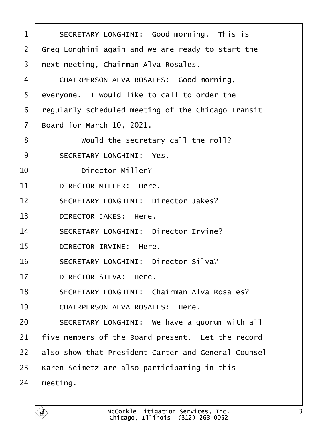<span id="page-2-0"></span>

| 1  | SECRETARY LONGHINI: Good morning. This is           |
|----|-----------------------------------------------------|
| 2  | Greg Longhini again and we are ready to start the   |
| 3  | next meeting, Chairman Alva Rosales.                |
| 4  | CHAIRPERSON ALVA ROSALES: Good morning,             |
| 5  | everyone. I would like to call to order the         |
| 6  | regularly scheduled meeting of the Chicago Transit  |
| 7  | Board for March 10, 2021.                           |
| 8  | Would the secretary call the roll?                  |
| 9  | <b>SECRETARY LONGHINI: Yes.</b>                     |
| 10 | <b>Director Miller?</b>                             |
| 11 | DIRECTOR MILLER: Here.                              |
| 12 | <b>SECRETARY LONGHINI: Director Jakes?</b>          |
| 13 | <b>DIRECTOR JAKES: Here.</b>                        |
| 14 | <b>SECRETARY LONGHINI: Director Irvine?</b>         |
| 15 | DIRECTOR IRVINE: Here.                              |
| 16 | <b>SECRETARY LONGHINI: Director Silva?</b>          |
| 17 | <b>DIRECTOR SILVA: Here.</b>                        |
| 18 | <b>SECRETARY LONGHINI: Chairman Alva Rosales?</b>   |
| 19 | <b>CHAIRPERSON ALVA ROSALES: Here.</b>              |
| 20 | SECRETARY LONGHINI: We have a quorum with all       |
| 21 | five members of the Board present. Let the record   |
| 22 | also show that President Carter and General Counsel |
| 23 | Karen Seimetz are also participating in this        |
| 24 | meeting.                                            |
|    |                                                     |

 $\Gamma$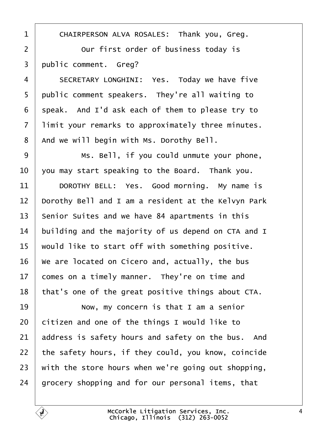<span id="page-3-0"></span>

| 1              | CHAIRPERSON ALVA ROSALES: Thank you, Greg.          |
|----------------|-----------------------------------------------------|
| $\overline{2}$ | Our first order of business today is                |
| 3              | public comment. Greg?                               |
| 4              | SECRETARY LONGHINI: Yes. Today we have five         |
| 5              | public comment speakers. They're all waiting to     |
| 6              | speak. And I'd ask each of them to please try to    |
| 7              | limit your remarks to approximately three minutes.  |
| 8              | And we will begin with Ms. Dorothy Bell.            |
| 9              | Ms. Bell, if you could unmute your phone,           |
| 10             | you may start speaking to the Board. Thank you.     |
| 11             | DOROTHY BELL: Yes. Good morning. My name is         |
| 12             | Dorothy Bell and I am a resident at the Kelvyn Park |
| 13             | Senior Suites and we have 84 apartments in this     |
| 14             | building and the majority of us depend on CTA and I |
| 15             | would like to start off with something positive.    |
| 16             | We are located on Cicero and, actually, the bus     |
| 17             | comes on a timely manner. They're on time and       |
| 18             | that's one of the great positive things about CTA.  |
| 19             | Now, my concern is that I am a senior               |
| 20             | citizen and one of the things I would like to       |
| 21             | address is safety hours and safety on the bus. And  |
| 22             | the safety hours, if they could, you know, coincide |
| 23             | with the store hours when we're going out shopping, |
| 24             | grocery shopping and for our personal items, that   |
|                |                                                     |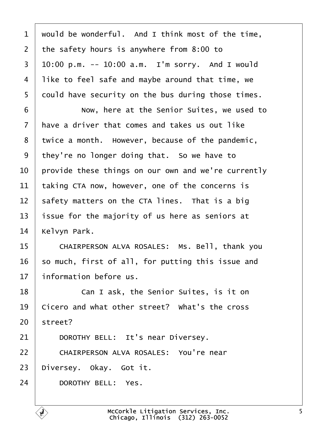<span id="page-4-0"></span>

| 1  | would be wonderful. And I think most of the time,   |
|----|-----------------------------------------------------|
| 2  | the safety hours is anywhere from 8:00 to           |
| 3  | $10:00$ p.m. -- 10:00 a.m. I'm sorry. And I would   |
| 4  | like to feel safe and maybe around that time, we    |
| 5  | dould have security on the bus during those times.  |
| 6  | Now, here at the Senior Suites, we used to          |
| 7  | have a driver that comes and takes us out like      |
| 8  | twice a month. However, because of the pandemic,    |
| 9  | they're no longer doing that. So we have to         |
| 10 | provide these things on our own and we're currently |
| 11 | taking CTA now, however, one of the concerns is     |
| 12 | safety matters on the CTA lines. That is a big      |
| 13 | issue for the majority of us here as seniors at     |
| 14 | Kelvyn Park.                                        |
| 15 | CHAIRPERSON ALVA ROSALES: Ms. Bell, thank you       |
| 16 | so much, first of all, for putting this issue and   |
| 17 | information before us.                              |
| 18 | Can I ask, the Senior Suites, is it on              |
| 19 | Cicero and what other street? What's the cross      |
| 20 | street?                                             |
| 21 | DOROTHY BELL: It's near Diversey.                   |
| 22 | CHAIRPERSON ALVA ROSALES: You're near               |
| 23 | Diversey. Okay. Got it.                             |
| 24 | DOROTHY BELL: Yes.                                  |
|    |                                                     |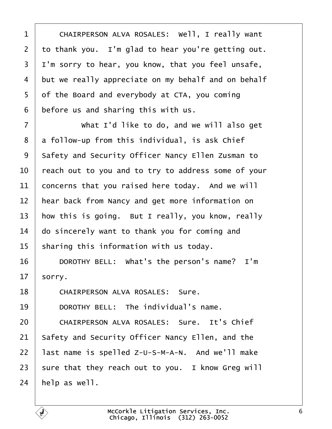<span id="page-5-0"></span>

| CHAIRPERSON ALVA ROSALES: Well, I really want       |
|-----------------------------------------------------|
| to thank you. I'm glad to hear you're getting out.  |
| I'm sorry to hear, you know, that you feel unsafe,  |
| but we really appreciate on my behalf and on behalf |
| of the Board and everybody at CTA, you coming       |
| before us and sharing this with us.                 |
| What I'd like to do, and we will also get           |
| a follow-up from this individual, is ask Chief      |
| Safety and Security Officer Nancy Ellen Zusman to   |
| reach out to you and to try to address some of your |
| concerns that you raised here today. And we will    |
| hear back from Nancy and get more information on    |
| how this is going. But I really, you know, really   |
| do sincerely want to thank you for coming and       |
| sharing this information with us today.             |
| DOROTHY BELL: What's the person's name? I'm         |
| sorry.                                              |
| <b>CHAIRPERSON ALVA ROSALES: Sure.</b>              |
| DOROTHY BELL: The individual's name.                |
| <b>CHAIRPERSON ALVA ROSALES: Sure. It's Chief</b>   |
| Safety and Security Officer Nancy Ellen, and the    |
| last name is spelled Z-U-S-M-A-N. And we'll make    |
| sure that they reach out to you. I know Greg will   |
|                                                     |

24  $\mu$ elp as well.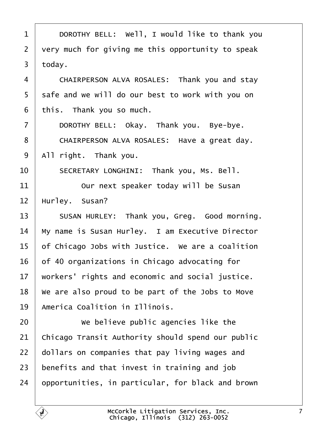<span id="page-6-0"></span>

| $\mathbf 1$    | DOROTHY BELL: Well, I would like to thank you     |
|----------------|---------------------------------------------------|
| 2              | very much for giving me this opportunity to speak |
| 3              | today.                                            |
| 4              | CHAIRPERSON ALVA ROSALES: Thank you and stay      |
| 5              | safe and we will do our best to work with you on  |
| 6              | this. Thank you so much.                          |
| $\overline{7}$ | DOROTHY BELL: Okay. Thank you. Bye-bye.           |
| 8              | CHAIRPERSON ALVA ROSALES: Have a great day.       |
| 9              | All right. Thank you.                             |
| 10             | SECRETARY LONGHINI: Thank you, Ms. Bell.          |
| 11             | Our next speaker today will be Susan              |
| 12             | Hurley. Susan?                                    |
| 13             | SUSAN HURLEY: Thank you, Greg. Good morning.      |
| 14             | My name is Susan Hurley. I am Executive Director  |
| 15             | of Chicago Jobs with Justice. We are a coalition  |
| 16             | of 40 organizations in Chicago advocating for     |
| 17             | workers' rights and economic and social justice.  |
| 18             | We are also proud to be part of the Jobs to Move  |
| 19             | <b>America Coalition in Illinois.</b>             |
| 20             | We believe public agencies like the               |
| 21             | Chicago Transit Authority should spend our public |
| 22             | dollars on companies that pay living wages and    |
| 23             | benefits and that invest in training and job      |
| 24             | opportunities, in particular, for black and brown |
|                |                                                   |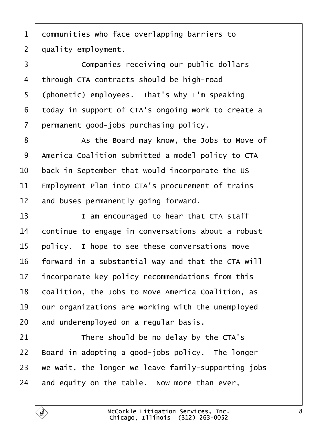<span id="page-7-0"></span>1 dommunities who face overlapping barriers to

2 duality employment.

3 **Companies receiving our public dollars** 4 through CTA contracts should be high-road 5 (phonetic) employees. That's why I'm speaking ·6· ·today in support of CTA's ongoing work to create a 7 permanent good-jobs purchasing policy. 8 | As the Board may know, the Jobs to Move of 9 America Coalition submitted a model policy to CTA 10 back in September that would incorporate the US 11 Employment Plan into CTA's procurement of trains 12 and buses permanently going forward. 13 **I** am encouraged to hear that CTA staff 14 continue to engage in conversations about a robust 15 policy. I hope to see these conversations move 16 forward in a substantial way and that the CTA will 17 incorporate key policy recommendations from this 18 coalition, the Jobs to Move America Coalition, as 19 bur organizations are working with the unemployed 20 and underemployed on a regular basis.  $21$  There should be no delay by the CTA's 22 Board in adopting a good-jobs policy. The longer 23 we wait, the longer we leave family-supporting jobs 24 and equity on the table. Now more than ever,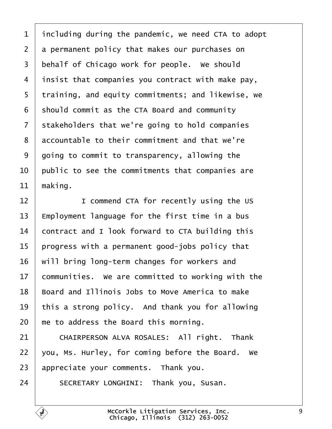<span id="page-8-0"></span>

| 1              | including during the pandemic, we need CTA to adopt |
|----------------|-----------------------------------------------------|
| $\overline{2}$ | a permanent policy that makes our purchases on      |
| 3              | behalf of Chicago work for people. We should        |
| 4              | insist that companies you contract with make pay,   |
| 5              | training, and equity commitments; and likewise, we  |
| 6              | should commit as the CTA Board and community        |
| 7              | stakeholders that we're going to hold companies     |
| 8              | accountable to their commitment and that we're      |
| 9              | going to commit to transparency, allowing the       |
| 10             | public to see the commitments that companies are    |
| 11             | making.                                             |
| 12             | I commend CTA for recently using the US             |
| 13             | Employment language for the first time in a bus     |
| 14             | contract and I look forward to CTA building this    |
| 15             | progress with a permanent good-jobs policy that     |
| 16             | will bring long-term changes for workers and        |
| 17             | communities. We are committed to working with the   |
| 18             | Board and Illinois Jobs to Move America to make     |
| 19             | this a strong policy. And thank you for allowing    |
| 20             | me to address the Board this morning.               |
| 21             | CHAIRPERSON ALVA ROSALES: All right. Thank          |
| 22             | you, Ms. Hurley, for coming before the Board. We    |
| 23             | appreciate your comments. Thank you.                |
| 24             | SECRETARY LONGHINI: Thank you, Susan.               |
|                |                                                     |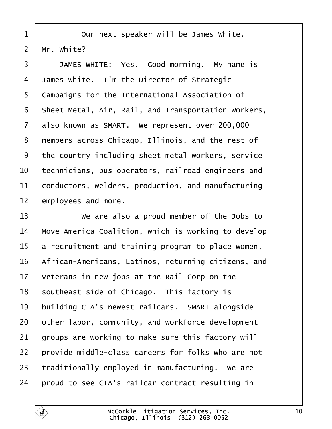- <span id="page-9-0"></span>
- 1 | Our next speaker will be James White.
- 2 Mr. White?

3 | JAMES WHITE: Yes. Good morning. My name is 4 James White. I'm the Director of Strategic 5 Campaigns for the International Association of 6 Sheet Metal, Air, Rail, and Transportation Workers, 7 also known as SMART. We represent over 200,000 8 members across Chicago, Illinois, and the rest of 9 the country including sheet metal workers, service 10 technicians, bus operators, railroad engineers and 11 conductors, welders, production, and manufacturing 12 employees and more. 13 Ve are also a proud member of the Jobs to 14 Move America Coalition, which is working to develop 15 a recruitment and training program to place women, 16 African-Americans, Latinos, returning citizens, and 17 veterans in new jobs at the Rail Corp on the 18 southeast side of Chicago. This factory is 19 building CTA's newest railcars. SMART alongside 20 bther labor, community, and workforce development 21 groups are working to make sure this factory will 22 brovide middle-class careers for folks who are not 23 traditionally employed in manufacturing. We are 24 broud to see CTA's railcar contract resulting in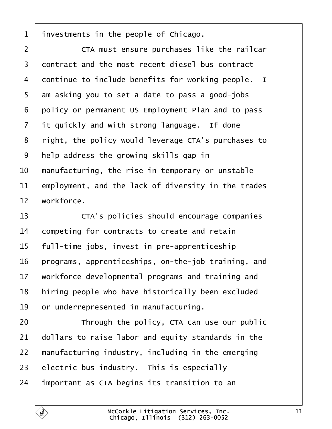<span id="page-10-0"></span>1 investments in the people of Chicago. 2 **CTA** must ensure purchases like the railcar 3 dontract and the most recent diesel bus contract 4 dontinue to include benefits for working people. I 5 am asking you to set a date to pass a good-jobs 6 policy or permanent US Employment Plan and to pass 7 it quickly and with strong language. If done 8 right, the policy would leverage CTA's purchases to 9 help address the growing skills gap in 10 manufacturing, the rise in temporary or unstable 11 employment, and the lack of diversity in the trades 12 workforce. 13 **CTA's policies should encourage companies** 14 competing for contracts to create and retain 15 full-time jobs, invest in pre-apprenticeship 16 programs, apprenticeships, on-the-job training, and 17 workforce developmental programs and training and 18 hiring people who have historically been excluded 19 or underrepresented in manufacturing.  $20$  <sup> $\parallel$ </sup> Through the policy, CTA can use our public 21 dollars to raise labor and equity standards in the 22 manufacturing industry, including in the emerging 23 electric bus industry. This is especially 24 *important as CTA begins its transition to an*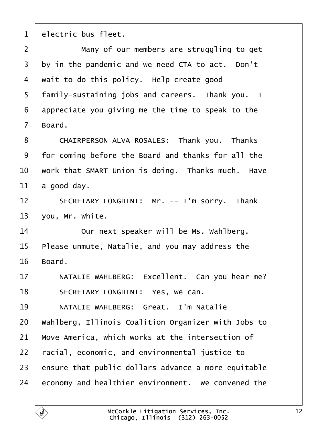<span id="page-11-0"></span>1 electric bus fleet.

2 **I** Many of our members are struggling to get 3 by in the pandemic and we need CTA to act. Don't 4 wait to do this policy. Help create good 5 family-sustaining jobs and careers. Thank you. I 6 appreciate you giving me the time to speak to the 7 Board. 8 CHAIRPERSON ALVA ROSALES: Thank you. Thanks 9 for coming before the Board and thanks for all the 10 work that SMART Union is doing. Thanks much. Have 11  $\frac{1}{2}$  a good day. 12 | SECRETARY LONGHINI: Mr. -- I'm sorry. Thank 13  $\sqrt{v}$ ou, Mr. White. 14 **Our next speaker will be Ms. Wahlberg.** 15 Please unmute, Natalie, and you may address the 16 Board. 17 | NATALIE WAHLBERG: Excellent. Can you hear me? 18 | SECRETARY LONGHINI: Yes, we can. 19 | NATALIE WAHLBERG: Great. I'm Natalie 20 Wahlberg, Illinois Coalition Organizer with Jobs to 21 Move America, which works at the intersection of 22 racial, economic, and environmental justice to 23 ensure that public dollars advance a more equitable 24 economy and healthier environment. We convened the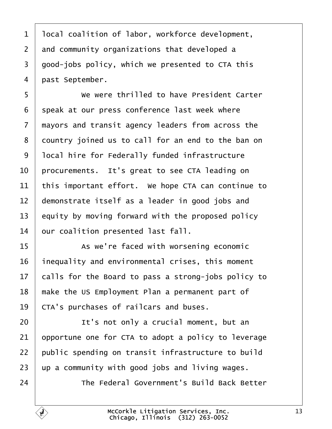<span id="page-12-0"></span>

| 1              | Ipcal coalition of labor, workforce development,    |
|----------------|-----------------------------------------------------|
| $\overline{2}$ | and community organizations that developed a        |
| 3              | good-jobs policy, which we presented to CTA this    |
| 4              | past September.                                     |
| 5              | We were thrilled to have President Carter           |
| 6              | speak at our press conference last week where       |
| $\overline{7}$ | mayors and transit agency leaders from across the   |
| 8              | dountry joined us to call for an end to the ban on  |
| 9              | Iocal hire for Federally funded infrastructure      |
| 10             | procurements. It's great to see CTA leading on      |
| 11             | this important effort. We hope CTA can continue to  |
| 12             | demonstrate itself as a leader in good jobs and     |
| 13             | equity by moving forward with the proposed policy   |
| 14             | our coalition presented last fall.                  |
| 15             | As we're faced with worsening economic              |
| 16             | inequality and environmental crises, this moment    |
| 17             | calls for the Board to pass a strong-jobs policy to |
| 18             | make the US Employment Plan a permanent part of     |
| 19             | CTA's purchases of railcars and buses.              |
| 20             | It's not only a crucial moment, but an              |
| 21             | opportune one for CTA to adopt a policy to leverage |
| 22             | public spending on transit infrastructure to build  |
| 23             | up a community with good jobs and living wages.     |
| 24             | The Federal Government's Build Back Better          |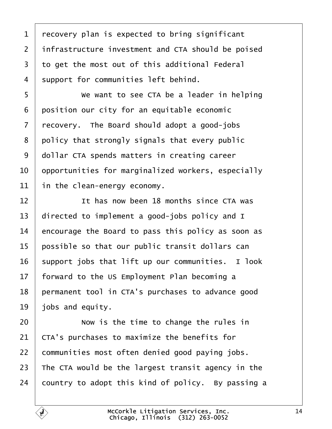<span id="page-13-0"></span>

| 1              | recovery plan is expected to bring significant     |
|----------------|----------------------------------------------------|
| $\overline{2}$ | infrastructure investment and CTA should be poised |
| 3              | to get the most out of this additional Federal     |
| 4              | support for communities left behind.               |
| 5              | We want to see CTA be a leader in helping          |
| 6              | position our city for an equitable economic        |
| 7              | recovery. The Board should adopt a good-jobs       |
| 8              | policy that strongly signals that every public     |
| 9              | dollar CTA spends matters in creating career       |
| 10             | opportunities for marginalized workers, especially |
| 11             | in the clean-energy economy.                       |
| 12             | It has now been 18 months since CTA was            |
| 13             | directed to implement a good-jobs policy and I     |
| 14             | encourage the Board to pass this policy as soon as |
| 15             | possible so that our public transit dollars can    |
| 16             | support jobs that lift up our communities. I look  |
| $17\,$         | forward to the US Employment Plan becoming a       |
| 18             | permanent tool in CTA's purchases to advance good  |
| 19             | jobs and equity.                                   |
| 20             | Now is the time to change the rules in             |
| 21             | CTA's purchases to maximize the benefits for       |
| 22             | communities most often denied good paying jobs.    |
| 23             | The CTA would be the largest transit agency in the |
| 24             | country to adopt this kind of policy. By passing a |
|                |                                                    |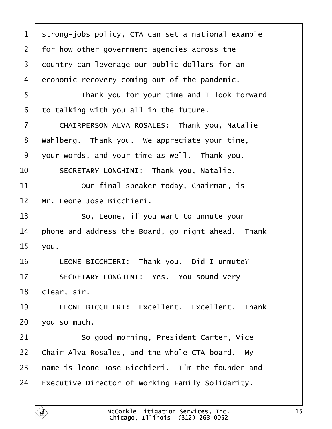<span id="page-14-0"></span>

| 1  | strong-jobs policy, CTA can set a national example      |
|----|---------------------------------------------------------|
| 2  | for how other government agencies across the            |
| 3  | dountry can leverage our public dollars for an          |
| 4  | economic recovery coming out of the pandemic.           |
| 5  | Thank you for your time and I look forward              |
| 6  | to talking with you all in the future.                  |
| 7  | CHAIRPERSON ALVA ROSALES: Thank you, Natalie            |
| 8  | Wahlberg. Thank you. We appreciate your time,           |
| 9  | your words, and your time as well. Thank you.           |
| 10 | SECRETARY LONGHINI: Thank you, Natalie.                 |
| 11 | Our final speaker today, Chairman, is                   |
| 12 | Mr. Leone Jose Bicchieri.                               |
| 13 | So, Leone, if you want to unmute your                   |
| 14 | phone and address the Board, go right ahead. Thank      |
| 15 | you.                                                    |
| 16 | LEONE BICCHIERI: Thank you. Did I unmute?               |
| 17 | SECRETARY LONGHINI: Yes. You sound very                 |
| 18 | clear, sir.                                             |
| 19 | LEONE BICCHIERI: Excellent. Excellent. Thank            |
| 20 | vou so much.                                            |
| 21 | So good morning, President Carter, Vice                 |
| 22 | Chair Alva Rosales, and the whole CTA board. My         |
| 23 | hame is leone Jose Bicchieri. I'm the founder and       |
| 24 | <b>Executive Director of Working Family Solidarity.</b> |
|    |                                                         |

 $\Gamma$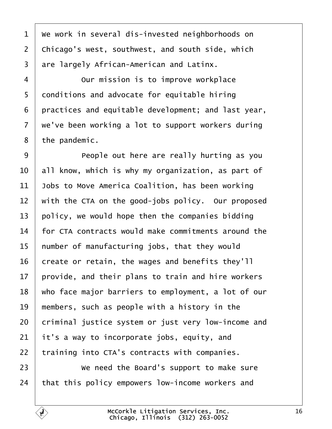<span id="page-15-0"></span>

| 1               | We work in several dis-invested neighborhoods on    |
|-----------------|-----------------------------------------------------|
| $\overline{2}$  | Chicago's west, southwest, and south side, which    |
| 3               | are largely African-American and Latinx.            |
| 4               | Our mission is to improve workplace                 |
| 5               | donditions and advocate for equitable hiring        |
| 6               | practices and equitable development; and last year, |
| 7               | we've been working a lot to support workers during  |
| 8               | the pandemic.                                       |
| 9               | People out here are really hurting as you           |
| 10              | all know, which is why my organization, as part of  |
| 11              | Jobs to Move America Coalition, has been working    |
| 12              | with the CTA on the good-jobs policy. Our proposed  |
| 13              | policy, we would hope then the companies bidding    |
| 14              | for CTA contracts would make commitments around the |
| 15              | number of manufacturing jobs, that they would       |
| 16              | create or retain, the wages and benefits they'll    |
| 17 <sub>1</sub> | provide, and their plans to train and hire workers  |
| 18              | who face major barriers to employment, a lot of our |
| 19              | members, such as people with a history in the       |
| 20              | criminal justice system or just very low-income and |
| 21              | it's a way to incorporate jobs, equity, and         |
| 22              | training into CTA's contracts with companies.       |
| 23              | We need the Board's support to make sure            |
| 24              | that this policy empowers low-income workers and    |
|                 |                                                     |

Г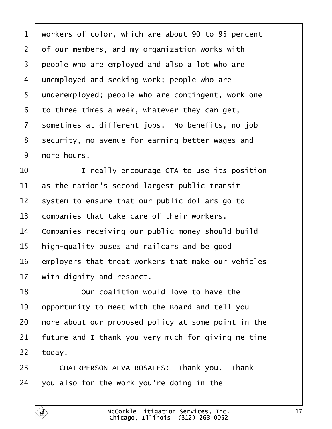<span id="page-16-0"></span>

|  | 1 workers of color, which are about 90 to 95 percent |  |  |  |  |  |  |  |  |  |
|--|------------------------------------------------------|--|--|--|--|--|--|--|--|--|
|--|------------------------------------------------------|--|--|--|--|--|--|--|--|--|

2 of our members, and my organization works with

- 3 people who are employed and also a lot who are
- 4 unemployed and seeking work; people who are
- 5 underemployed; people who are contingent, work one
- ·6· ·to three times a week, whatever they can get,
- 7 sometimes at different jobs. No benefits, no job
- 8 security, no avenue for earning better wages and
- 9 more hours.
- 10 **I** really encourage CTA to use its position
- 11 as the nation's second largest public transit
- 12 system to ensure that our public dollars go to
- 13 companies that take care of their workers.
- 14 Companies receiving our public money should build
- 15 high-quality buses and railcars and be good
- 16 employers that treat workers that make our vehicles
- 17 with dignity and respect.
- 18 **Dure coalition would love to have the**
- 19 by portunity to meet with the Board and tell you
- 20 more about our proposed policy at some point in the
- 21 future and I thank you very much for giving me time
- $22$  today.
- 23 | CHAIRPERSON ALVA ROSALES: Thank you. Thank
- 24  $\sqrt{v}$  vou also for the work you're doing in the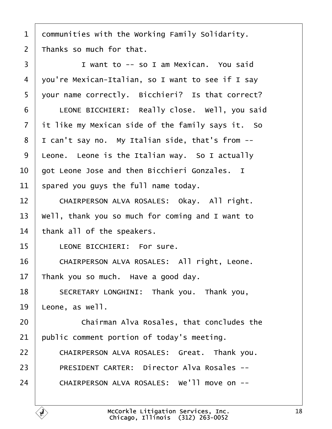<span id="page-17-0"></span>

|  | 1 dommunities with the Working Family Solidarity. |  |  |  |  |
|--|---------------------------------------------------|--|--|--|--|
|--|---------------------------------------------------|--|--|--|--|

2  $\mathsf{\bar{a}}$  hanks so much for that.

| 3              | I want to -- so I am Mexican. You said            |
|----------------|---------------------------------------------------|
| 4              | you're Mexican-Italian, so I want to see if I say |
| 5              | your name correctly. Bicchieri? Is that correct?  |
| 6              | LEONE BICCHIERI: Really close. Well, you said     |
| $\overline{7}$ | it like my Mexican side of the family says it. So |
| 8              | I can't say no. My Italian side, that's from --   |
| 9              | Leone. Leone is the Italian way. So I actually    |
| 10             | got Leone Jose and then Bicchieri Gonzales. I     |
| 11             | spared you guys the full name today.              |
| 12             | CHAIRPERSON ALVA ROSALES: Okay. All right.        |
| 13             | Well, thank you so much for coming and I want to  |
| 14             | thank all of the speakers.                        |
| 15             | <b>LEONE BICCHIERI: For sure.</b>                 |
| 16             | CHAIRPERSON ALVA ROSALES: All right, Leone.       |
| 17             | Thank you so much. Have a good day.               |
| 18             | SECRETARY LONGHINI: Thank you. Thank you,         |
| 19             | Leone, as well.                                   |
| 20             | Chairman Alva Rosales, that concludes the         |
| 21             | public comment portion of today's meeting.        |
| 22             | CHAIRPERSON ALVA ROSALES: Great. Thank you.       |
| 23             | <b>PRESIDENT CARTER: Director Alva Rosales --</b> |
| 24             | CHAIRPERSON ALVA ROSALES: We'll move on --        |
|                |                                                   |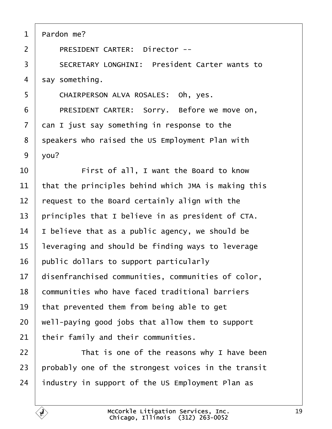<span id="page-18-0"></span>

| Pardon me? |
|------------|
|------------|

- 2 | PRESIDENT CARTER: Director --
- 3 **SECRETARY LONGHINI: President Carter wants to**

4 say something.

- 5 | CHAIRPERSON ALVA ROSALES: Oh, yes.
- 6 | PRESIDENT CARTER: Sorry. Before we move on,
- 7 dan I just say something in response to the
- 8 speakers who raised the US Employment Plan with
- 9 vlou?
- 10 **First of all, I want the Board to know**
- 11 that the principles behind which JMA is making this
- 12 request to the Board certainly align with the
- 13 principles that I believe in as president of CTA.
- 14  $\parallel$  believe that as a public agency, we should be
- 15 leveraging and should be finding ways to leverage
- 16 public dollars to support particularly
- 17 disenfranchised communities, communities of color,
- 18 communities who have faced traditional barriers
- 19 that prevented them from being able to get
- 20 well-paying good jobs that allow them to support
- 21 their family and their communities.
- $22$   $\parallel$  That is one of the reasons why I have been
- 23 probably one of the strongest voices in the transit
- 24 industry in support of the US Employment Plan as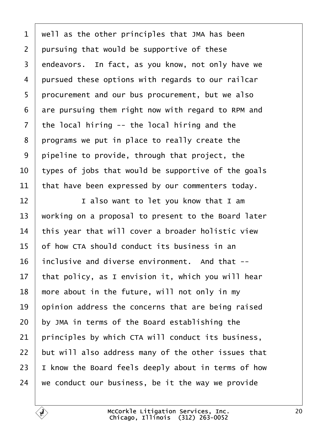<span id="page-19-0"></span>

| $\mathbf 1$    | well as the other principles that JMA has been      |
|----------------|-----------------------------------------------------|
| $\overline{2}$ | pursuing that would be supportive of these          |
| 3              | endeavors. In fact, as you know, not only have we   |
| 4              | pursued these options with regards to our railcar   |
| 5              | procurement and our bus procurement, but we also    |
| 6              | are pursuing them right now with regard to RPM and  |
| $\overline{7}$ | the local hiring -- the local hiring and the        |
| 8              | programs we put in place to really create the       |
| 9              | pipeline to provide, through that project, the      |
| 10             | types of jobs that would be supportive of the goals |
| 11             | that have been expressed by our commenters today.   |
| 12             | I also want to let you know that I am               |
| 13             | working on a proposal to present to the Board later |
| 14             | this year that will cover a broader holistic view   |
| 15             | of how CTA should conduct its business in an        |
| 16             | inclusive and diverse environment. And that --      |
| 17             | that policy, as I envision it, which you will hear  |
| 18             | more about in the future, will not only in my       |
| 19             | opinion address the concerns that are being raised  |
| 20             | by JMA in terms of the Board establishing the       |
| 21             | principles by which CTA will conduct its business,  |
| 22             | but will also address many of the other issues that |
| 23             | know the Board feels deeply about in terms of how   |
| 24             | we conduct our business, be it the way we provide   |
|                |                                                     |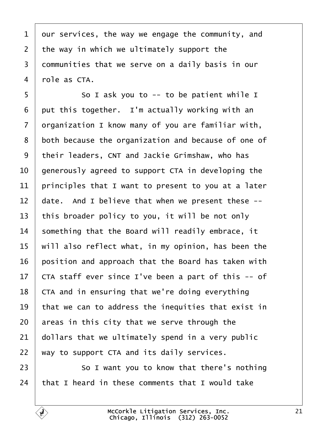<span id="page-20-0"></span>1 dur services, the way we engage the community, and 2 the way in which we ultimately support the 3 dommunities that we serve on a daily basis in our 4 rble as CTA. 5 **Solut ask you to -- to be patient while I** 6 put this together. I'm actually working with an 7 drganization I know many of you are familiar with, 8 both because the organization and because of one of 9 their leaders, CNT and Jackie Grimshaw, who has 10 denerously agreed to support CTA in developing the 11 principles that I want to present to you at a later 12 date. And I believe that when we present these --13 this broader policy to you, it will be not only 14 something that the Board will readily embrace, it 15 will also reflect what, in my opinion, has been the 16 position and approach that the Board has taken with 17 CTA staff ever since I've been a part of this -- of 18 CTA and in ensuring that we're doing everything 19 that we can to address the inequities that exist in 20  $\alpha$  areas in this city that we serve through the 21  $\theta$  dollars that we ultimately spend in a very public 22 way to support CTA and its daily services. 23 **So I want you to know that there's nothing** 24 that I heard in these comments that I would take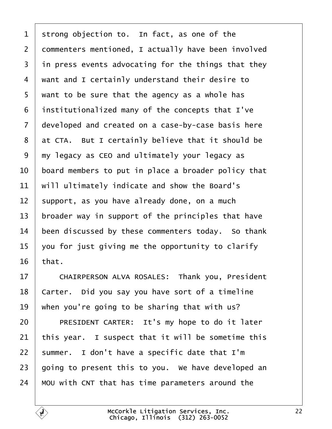- <span id="page-21-0"></span>1 strong objection to. In fact, as one of the
- 2 dommenters mentioned, I actually have been involved
- 3 in press events advocating for the things that they
- 4 want and I certainly understand their desire to
- 5 want to be sure that the agency as a whole has
- ·6· ·institutionalized many of the concepts that I've
- 7 developed and created on a case-by-case basis here
- 8 at CTA. But I certainly believe that it should be
- ·9· ·my legacy as CEO and ultimately your legacy as
- 10 board members to put in place a broader policy that
- 11 will ultimately indicate and show the Board's
- 12 support, as you have already done, on a much
- 13 broader way in support of the principles that have
- 14 been discussed by these commenters today. So thank
- 15 you for just giving me the opportunity to clarify
- 16  $$
- 17 | CHAIRPERSON ALVA ROSALES: Thank you, President
- 18 Carter. Did you say you have sort of a timeline
- 19 when you're going to be sharing that with us?
- 20 | PRESIDENT CARTER: It's my hope to do it later
- 21 this year. I suspect that it will be sometime this
- 22 summer. I don't have a specific date that I'm
- 23 going to present this to you. We have developed an
- 24 MOU with CNT that has time parameters around the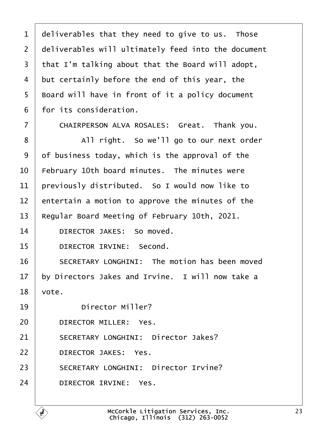<span id="page-22-0"></span>

| 1              | deliverables that they need to give to us. Those    |
|----------------|-----------------------------------------------------|
| $\overline{2}$ | deliverables will ultimately feed into the document |
| 3              | that I'm talking about that the Board will adopt,   |
| 4              | but certainly before the end of this year, the      |
| 5              | Board will have in front of it a policy document    |
| 6              | for its consideration.                              |
| 7              | CHAIRPERSON ALVA ROSALES: Great. Thank you.         |
| 8              | All right. So we'll go to our next order            |
| 9              | of business today, which is the approval of the     |
| 10             | February 10th board minutes. The minutes were       |
| 11             | previously distributed. So I would now like to      |
| 12             | entertain a motion to approve the minutes of the    |
| 13             | Regular Board Meeting of February 10th, 2021.       |
| 14             | DIRECTOR JAKES: So moved.                           |
| 15             | <b>DIRECTOR IRVINE: Second.</b>                     |
| 16             | SECRETARY LONGHINI: The motion has been moved       |
| 17             | by Directors Jakes and Irvine. I will now take a    |
| 18             | vote.                                               |
| 19             | Director Miller?                                    |
| 20             | DIRECTOR MILLER: Yes.                               |
| 21             | <b>SECRETARY LONGHINI: Director Jakes?</b>          |
| 22             | <b>DIRECTOR JAKES: Yes.</b>                         |
| 23             | <b>SECRETARY LONGHINI: Director Irvine?</b>         |
| 24             | <b>DIRECTOR IRVINE: Yes.</b>                        |
|                |                                                     |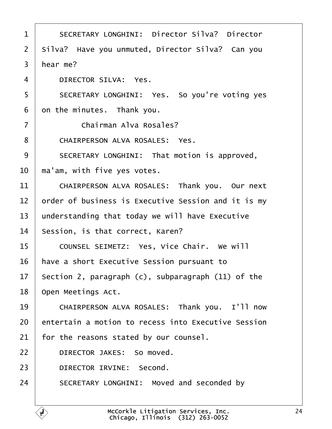<span id="page-23-0"></span>

| 1              | <b>SECRETARY LONGHINI: Director Silva? Director</b> |
|----------------|-----------------------------------------------------|
| 2              | Silva? Have you unmuted, Director Silva? Can you    |
| 3              | hear me?                                            |
| 4              | <b>DIRECTOR SILVA: Yes.</b>                         |
| 5              | SECRETARY LONGHINI: Yes. So you're voting yes       |
| 6              | on the minutes. Thank you.                          |
| $\overline{7}$ | <b>Chairman Alva Rosales?</b>                       |
| 8              | <b>CHAIRPERSON ALVA ROSALES: Yes.</b>               |
| 9              | SECRETARY LONGHINI: That motion is approved,        |
| 10             | ma'am, with five yes votes.                         |
| 11             | CHAIRPERSON ALVA ROSALES: Thank you. Our next       |
| 12             | order of business is Executive Session and it is my |
| 13             | understanding that today we will have Executive     |
| 14             | Session, is that correct, Karen?                    |
| 15             | COUNSEL SEIMETZ: Yes, Vice Chair. We will           |
| 16             | have a short Executive Session pursuant to          |
| 17             | Section 2, paragraph (c), subparagraph (11) of the  |
| 18             | Open Meetings Act.                                  |
| 19             | CHAIRPERSON ALVA ROSALES: Thank you. I'll now       |
| 20             | entertain a motion to recess into Executive Session |
| 21             | for the reasons stated by our counsel.              |
| 22             | DIRECTOR JAKES: So moved.                           |
| 23             | DIRECTOR IRVINE: Second.                            |
| 24             | SECRETARY LONGHINI: Moved and seconded by           |
|                |                                                     |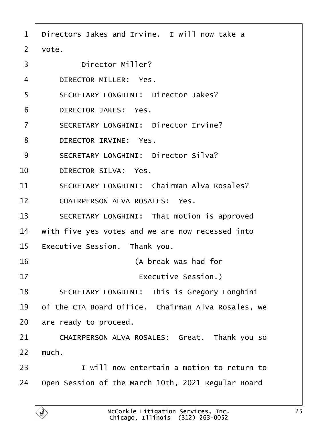<span id="page-24-0"></span>

| 1              | Directors Jakes and Irvine. I will now take a       |
|----------------|-----------------------------------------------------|
| 2              | vote.                                               |
| 3              | <b>Director Miller?</b>                             |
| 4              | <b>DIRECTOR MILLER: Yes.</b>                        |
| 5              | <b>SECRETARY LONGHINI: Director Jakes?</b>          |
| 6              | <b>DIRECTOR JAKES: Yes.</b>                         |
| $\overline{7}$ | <b>SECRETARY LONGHINI: Director Irvine?</b>         |
| 8              | <b>DIRECTOR IRVINE: Yes.</b>                        |
| 9              | <b>SECRETARY LONGHINI: Director Silva?</b>          |
| 10             | <b>DIRECTOR SILVA: Yes.</b>                         |
| 11             | <b>SECRETARY LONGHINI: Chairman Alva Rosales?</b>   |
| 12             | <b>CHAIRPERSON ALVA ROSALES: Yes.</b>               |
| 13             | SECRETARY LONGHINI: That motion is approved         |
| 14             | with five yes votes and we are now recessed into    |
| 15             | Executive Session. Thank you.                       |
| 16             | (A break was had for                                |
| 17             | Executive Session.)                                 |
| 18             | <b>SECRETARY LONGHINI: This is Gregory Longhini</b> |
| 19             | of the CTA Board Office. Chairman Alva Rosales, we  |
| 20             | are ready to proceed.                               |
| 21             | CHAIRPERSON ALVA ROSALES: Great. Thank yo           |
| 22             | much.                                               |
| 23             | I will now entertain a motion to return to          |
| 24             | Open Session of the March 10th, 2021 Regular Board  |
|                |                                                     |

you so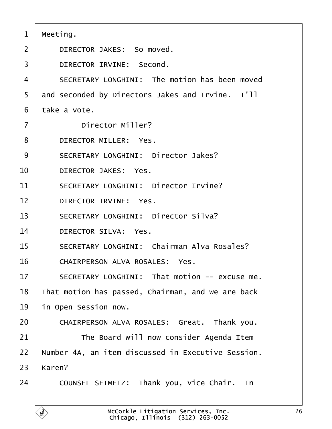<span id="page-25-0"></span>

| 1              | Meeting.                                           |
|----------------|----------------------------------------------------|
| $\overline{2}$ | DIRECTOR JAKES: So moved.                          |
| 3              | DIRECTOR IRVINE: Second.                           |
| 4              | SECRETARY LONGHINI: The motion has been moved      |
| 5              | and seconded by Directors Jakes and Irvine. I'll   |
| 6              | take a vote.                                       |
| $\overline{7}$ | <b>Director Miller?</b>                            |
| 8              | <b>DIRECTOR MILLER: Yes.</b>                       |
| 9              | <b>SECRETARY LONGHINI: Director Jakes?</b>         |
| 10             | <b>DIRECTOR JAKES: Yes.</b>                        |
| 11             | <b>SECRETARY LONGHINI: Director Irvine?</b>        |
| 12             | DIRECTOR IRVINE: Yes.                              |
| 13             | <b>SECRETARY LONGHINI: Director Silva?</b>         |
| 14             | <b>DIRECTOR SILVA: Yes.</b>                        |
| 15             | <b>SECRETARY LONGHINI: Chairman Alva Rosales?</b>  |
| 16             | CHAIRPERSON ALVA ROSALES: Yes.                     |
| 17             | SECRETARY LONGHINI: That motion -- excuse me.      |
| 18             | That motion has passed, Chairman, and we are back  |
| 19             | in Open Session now.                               |
| 20             | CHAIRPERSON ALVA ROSALES: Great. Thank you.        |
| 21             | The Board will now consider Agenda Item            |
| 22             | Number 4A, an item discussed in Executive Session. |
| 23             | Karen?                                             |
| 24             | COUNSEL SEIMETZ: Thank you, Vice Chair. In         |
|                |                                                    |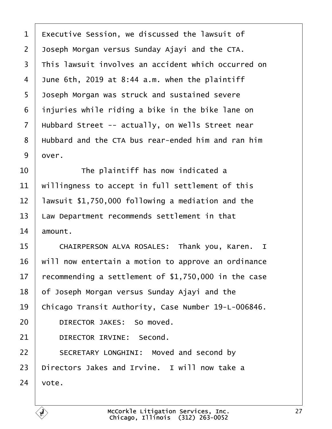<span id="page-26-0"></span>

|  | 1 Executive Session, we discussed the lawsuit of |  |  |  |  |  |
|--|--------------------------------------------------|--|--|--|--|--|
|--|--------------------------------------------------|--|--|--|--|--|

- 2 Joseph Morgan versus Sunday Ajayi and the CTA.
- 3 This lawsuit involves an accident which occurred on
- 4 June 6th, 2019 at 8:44 a.m. when the plaintiff
- 5 Joseph Morgan was struck and sustained severe
- 6 injuries while riding a bike in the bike lane on
- 7 Hubbard Street -- actually, on Wells Street near
- 8 Hubbard and the CTA bus rear-ended him and ran him
- 9 dver.
- $10$   $\parallel$  The plaintiff has now indicated a
- 11 willingness to accept in full settlement of this
- 12 lawsuit \$1,750,000 following a mediation and the
- 13 Law Department recommends settlement in that
- 14 amount.
- 15 | CHAIRPERSON ALVA ROSALES: Thank you, Karen. I
- 16 will now entertain a motion to approve an ordinance
- 17 recommending a settlement of \$1,750,000 in the case
- 18 of Joseph Morgan versus Sunday Ajayi and the
- 19 Chicago Transit Authority, Case Number 19-L-006846.
- 20 | DIRECTOR JAKES: So moved.
- 21 | DIRECTOR IRVINE: Second.
- 22 | SECRETARY LONGHINI: Moved and second by
- 23 Directors Jakes and Irvine. I will now take a
- $24$  vote.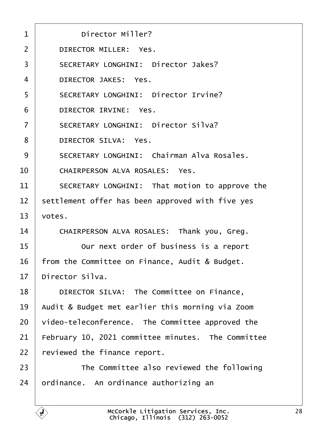<span id="page-27-0"></span>

| 1              | <b>Director Miller?</b>                            |
|----------------|----------------------------------------------------|
| $\overline{2}$ | <b>DIRECTOR MILLER: Yes.</b>                       |
| 3              | <b>SECRETARY LONGHINI: Director Jakes?</b>         |
| 4              | <b>DIRECTOR JAKES: Yes.</b>                        |
| 5              | <b>SECRETARY LONGHINI: Director Irvine?</b>        |
| 6              | <b>DIRECTOR IRVINE: Yes.</b>                       |
| $\overline{7}$ | <b>SECRETARY LONGHINI: Director Silva?</b>         |
| 8              | <b>DIRECTOR SILVA: Yes.</b>                        |
| 9              | <b>SECRETARY LONGHINI: Chairman Alva Rosales.</b>  |
| 10             | <b>CHAIRPERSON ALVA ROSALES: Yes.</b>              |
| 11             | SECRETARY LONGHINI: That motion to approve the     |
| 12             | settlement offer has been approved with five yes   |
| 13             | votes.                                             |
| 14             | CHAIRPERSON ALVA ROSALES: Thank you, Greg.         |
| 15             | Our next order of business is a report             |
| 16             | from the Committee on Finance, Audit & Budget.     |
| 17             | Director Silva.                                    |
| 18             | DIRECTOR SILVA: The Committee on Finance,          |
| 19             | Audit & Budget met earlier this morning via Zoom   |
| 20             | video-teleconference. The Committee approved the   |
| 21             | February 10, 2021 committee minutes. The Committee |
| 22             | eviewed the finance report.                        |
| 23             | The Committee also reviewed the following          |
| 24             | ordinance. An ordinance authorizing an             |
|                |                                                    |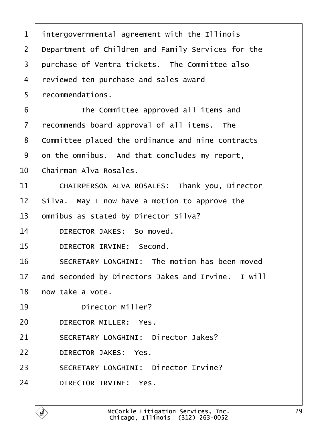- <span id="page-28-0"></span>1 intergovernmental agreement with the Illinois
- 2 Department of Children and Family Services for the
- 3 purchase of Ventra tickets. The Committee also
- 4 reviewed ten purchase and sales award
- 5 recommendations.
- 6 **I** The Committee approved all items and
- 7 recommends board approval of all items. The
- 8 Committee placed the ordinance and nine contracts
- 9 dn the omnibus. And that concludes my report,
- 10 Chairman Alva Rosales.
- 11 | CHAIRPERSON ALVA ROSALES: Thank you, Director
- 12 Silva. May I now have a motion to approve the
- 13 b omnibus as stated by Director Silva?
- 14 | DIRECTOR JAKES: So moved.
- 15 | DIRECTOR IRVINE: Second.
- 16 **SECRETARY LONGHINI:** The motion has been moved
- 17 and seconded by Directors Jakes and Irvine. I will
- 18 how take a vote.
- 19 | Director Miller?
- 20 | DIRECTOR MILLER: Yes.
- 21 | SECRETARY LONGHINI: Director Jakes?
- 22 | DIRECTOR JAKES: Yes.
- 23 | SECRETARY LONGHINI: Director Irvine?
- 24 | DIRECTOR IRVINE: Yes.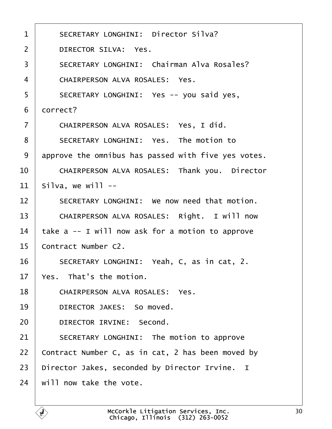<span id="page-29-0"></span>

| $\mathbf 1$    | <b>SECRETARY LONGHINI: Director Silva?</b>          |
|----------------|-----------------------------------------------------|
| $\overline{2}$ | <b>DIRECTOR SILVA: Yes.</b>                         |
| 3              | <b>SECRETARY LONGHINI: Chairman Alva Rosales?</b>   |
| 4              | <b>CHAIRPERSON ALVA ROSALES: Yes.</b>               |
| 5              | SECRETARY LONGHINI: Yes -- you said yes,            |
| 6              | dorrect?                                            |
| $\overline{7}$ | CHAIRPERSON ALVA ROSALES: Yes, I did.               |
| 8              | SECRETARY LONGHINI: Yes. The motion to              |
| 9              | approve the omnibus has passed with five yes votes. |
| 10             | CHAIRPERSON ALVA ROSALES: Thank you. Director       |
| 11             | Silva, we will --                                   |
| 12             | SECRETARY LONGHINI: We now need that motion.        |
| 13             | CHAIRPERSON ALVA ROSALES: Right. I will now         |
| 14             | take a -- I will now ask for a motion to approve    |
| 15             | Contract Number C2.                                 |
| 16             | SECRETARY LONGHINI: Yeah, C, as in cat, 2.          |
| 17             | Yes. That's the motion.                             |
| 18             | <b>CHAIRPERSON ALVA ROSALES: Yes.</b>               |
| 19             | DIRECTOR JAKES: So moved.                           |
| 20             | DIRECTOR IRVINE: Second.                            |
| 21             | SECRETARY LONGHINI: The motion to approve           |
| 22             | Contract Number C, as in cat, 2 has been moved by   |
| 23             | Director Jakes, seconded by Director Irvine. I      |
| 24             | will now take the vote.                             |
|                |                                                     |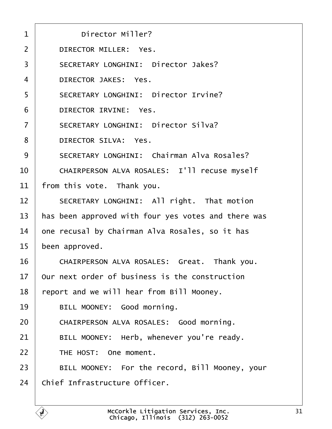<span id="page-30-0"></span>

| $\mathbf 1$    | <b>Director Miller?</b>                             |
|----------------|-----------------------------------------------------|
| 2              | <b>DIRECTOR MILLER: Yes.</b>                        |
| 3              | <b>SECRETARY LONGHINI: Director Jakes?</b>          |
| 4              | <b>DIRECTOR JAKES: Yes.</b>                         |
| 5              | <b>SECRETARY LONGHINI: Director Irvine?</b>         |
| 6              | <b>DIRECTOR IRVINE: Yes.</b>                        |
| $\overline{7}$ | <b>SECRETARY LONGHINI: Director Silva?</b>          |
| 8              | <b>DIRECTOR SILVA: Yes.</b>                         |
| 9              | <b>SECRETARY LONGHINI: Chairman Alva Rosales?</b>   |
| 10             | CHAIRPERSON ALVA ROSALES: I'll recuse myself        |
| 11             | from this vote. Thank you.                          |
| 12             | SECRETARY LONGHINI: All right. That motion          |
| 13             | has been approved with four yes votes and there was |
| 14             | one recusal by Chairman Alva Rosales, so it has     |
| 15             | been approved.                                      |
| 16             | CHAIRPERSON ALVA ROSALES: Great. Thank you.         |
| 17             | Our next order of business is the construction      |
| 18             | eport and we will hear from Bill Mooney.            |
| 19             | BILL MOONEY: Good morning.                          |
| 20             | CHAIRPERSON ALVA ROSALES: Good morning.             |
| 21             | BILL MOONEY: Herb, whenever you're ready.           |
| 22             | THE HOST: One moment.                               |
| 23             | BILL MOONEY: For the record, Bill Mooney, your      |
| 24             | Chief Infrastructure Officer.                       |
|                |                                                     |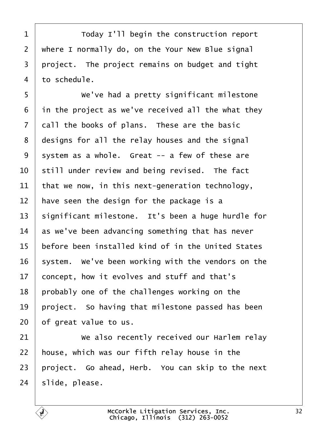<span id="page-31-0"></span>1 | Today I'll begin the construction report 2 where I normally do, on the Your New Blue signal 3 project. The project remains on budget and tight 4 to schedule. 5 **We've had a pretty significant milestone** 6 in the project as we've received all the what they 7 dall the books of plans. These are the basic 8 designs for all the relay houses and the signal 9 system as a whole. Great -- a few of these are 10 still under review and being revised. The fact 11 that we now, in this next-generation technology, 12 have seen the design for the package is a 13 significant milestone. It's been a huge hurdle for 14 as we've been advancing something that has never 15 before been installed kind of in the United States 16 system. We've been working with the vendors on the 17 concept, how it evolves and stuff and that's 18 probably one of the challenges working on the 19 project. So having that milestone passed has been 20 of great value to us. 21 • We also recently received our Harlem relay 22 house, which was our fifth relay house in the 23 project. Go ahead, Herb. You can skip to the next 24 slide, please.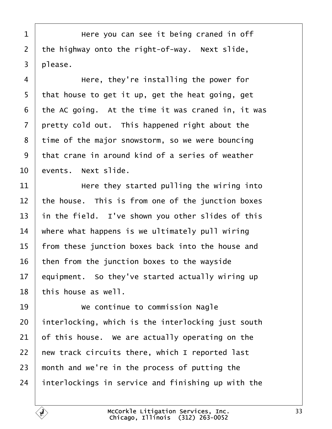<span id="page-32-0"></span>1 | Here you can see it being craned in off 2 the highway onto the right-of-way. Next slide, 3 please.  $4 \mid$  Here, they're installing the power for 5 that house to get it up, get the heat going, get 6 the AC going. At the time it was craned in, it was 7 pretty cold out. This happened right about the 8 time of the major snowstorm, so we were bouncing ·9· ·that crane in around kind of a series of weather 10 events. Next slide. 11 **Here they started pulling the wiring into** 12 the house. This is from one of the junction boxes 13 in the field. I've shown you other slides of this 14 where what happens is we ultimately pull wiring 15 from these junction boxes back into the house and 16 then from the junction boxes to the wayside 17 equipment. So they've started actually wiring up 18 this house as well. 19 **We continue to commission Nagle** 20 interlocking, which is the interlocking just south 21 b f this house. We are actually operating on the 22 hew track circuits there, which I reported last 23 month and we're in the process of putting the 24 interlockings in service and finishing up with the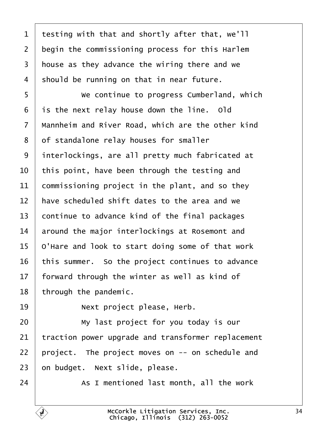<span id="page-33-0"></span>1 testing with that and shortly after that, we'll 2 begin the commissioning process for this Harlem 3 house as they advance the wiring there and we 4 should be running on that in near future. 5 • We continue to progress Cumberland, which 6 is the next relay house down the line. Old 7 Mannheim and River Road, which are the other kind 8 of standalone relay houses for smaller 9 interlockings, are all pretty much fabricated at 10 this point, have been through the testing and 11 commissioning project in the plant, and so they 12 have scheduled shift dates to the area and we 13 continue to advance kind of the final packages 14 around the major interlockings at Rosemont and 15 O'Hare and look to start doing some of that work 16 this summer. So the project continues to advance 17 forward through the winter as well as kind of 18 through the pandemic. 19 | Next project please, Herb.  $20$   $\parallel$  My last project for you today is our 21 traction power upgrade and transformer replacement 22 project. The project moves on -- on schedule and 23 bn budget. Next slide, please.  $24$   $\parallel$  As I mentioned last month, all the work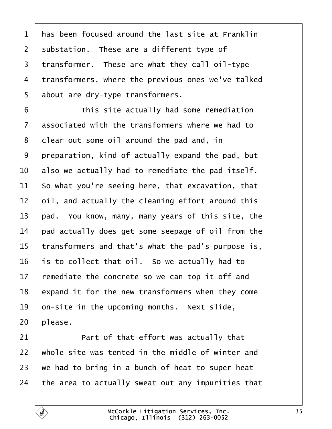<span id="page-34-0"></span>

| 1              | has been focused around the last site at Franklin  |
|----------------|----------------------------------------------------|
| $\overline{2}$ | substation. These are a different type of          |
| 3              | transformer. These are what they call oil-type     |
| 4              | transformers, where the previous ones we've talked |
| 5              | about are dry-type transformers.                   |
| 6              | This site actually had some remediation            |
| 7              | associated with the transformers where we had to   |
| 8              | dlear out some oil around the pad and, in          |
| 9              | preparation, kind of actually expand the pad, but  |
| 10             | also we actually had to remediate the pad itself.  |
| 11             | So what you're seeing here, that excavation, that  |
| 12             | bil, and actually the cleaning effort around this  |
| 13             | pad. You know, many, many years of this site, the  |
| 14             | pad actually does get some seepage of oil from the |
| 15             | transformers and that's what the pad's purpose is, |
| 16             | is to collect that oil. So we actually had to      |
| 17             | remediate the concrete so we can top it off and    |
| 18             | expand it for the new transformers when they come  |
| 19             | on-site in the upcoming months. Next slide,        |
| 20             | please.                                            |
| 21             | Part of that effort was actually that              |
| 22             | whole site was tented in the middle of winter and  |
| 23             | we had to bring in a bunch of heat to super heat   |
| 24             | the area to actually sweat out any impurities that |
|                |                                                    |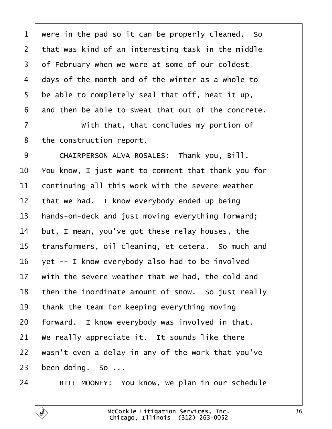<span id="page-35-0"></span>

| 1              | were in the pad so it can be properly cleaned. So   |
|----------------|-----------------------------------------------------|
| $\overline{2}$ | that was kind of an interesting task in the middle  |
| 3              | of February when we were at some of our coldest     |
| 4              | days of the month and of the winter as a whole to   |
| 5              | be able to completely seal that off, heat it up,    |
| 6              | and then be able to sweat that out of the concrete. |
| $\overline{7}$ | With that, that concludes my portion of             |
| 8              | the construction report.                            |
| 9              | CHAIRPERSON ALVA ROSALES: Thank you, Bill.          |
| 10             | You know, I just want to comment that thank you for |
| 11             | continuing all this work with the severe weather    |
| 12             | that we had. I know everybody ended up being        |
| 13             | hands-on-deck and just moving everything forward;   |
| 14             | but, I mean, you've got these relay houses, the     |
| 15             | transformers, oil cleaning, et cetera. So much and  |
| 16             | yet -- I know everybody also had to be involved     |
| 17             | with the severe weather that we had, the cold and   |
| 18             | then the inordinate amount of snow. So just really  |
| 19             | thank the team for keeping everything moving        |
| 20             | forward. I know everybody was involved in that.     |
| 21             | We really appreciate it. It sounds like there       |
| 22             | wasn't even a delay in any of the work that you've  |
| 23             | been doing. So                                      |
| 24             | BILL MOONEY: You know, we plan in our schedule      |

 $\sqrt{ }$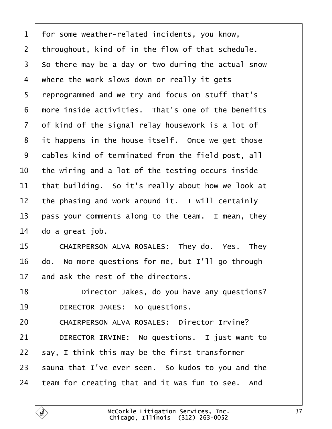<span id="page-36-0"></span>

|  |  | 1 for some weather-related incidents, you know, |  |  |
|--|--|-------------------------------------------------|--|--|
|--|--|-------------------------------------------------|--|--|

- 2 throughout, kind of in the flow of that schedule.
- 3 So there may be a day or two during the actual snow
- 4 where the work slows down or really it gets
- 5 reprogrammed and we try and focus on stuff that's
- 6 more inside activities. That's one of the benefits
- 7 of kind of the signal relay housework is a lot of
- 8 it happens in the house itself. Once we get those
- 9 dables kind of terminated from the field post, all
- 10 the wiring and a lot of the testing occurs inside
- 11 that building. So it's really about how we look at
- 12 the phasing and work around it. I will certainly
- 13 pass your comments along to the team. I mean, they
- 14  $\theta$ o a great job.
- 15 | CHAIRPERSON ALVA ROSALES: They do. Yes. They
- 16 do. No more questions for me, but I'll go through
- 17 and ask the rest of the directors.
- 18 **Director Jakes, do you have any questions?**
- 19 | DIRECTOR JAKES: No questions.
- 20 | CHAIRPERSON ALVA ROSALES: Director Irvine?
- 21 | DIRECTOR IRVINE: No questions. I just want to
- 22 say, I think this may be the first transformer
- 23 sauna that I've ever seen. So kudos to you and the
- 24 team for creating that and it was fun to see. And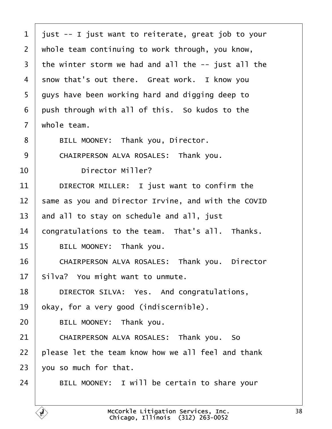<span id="page-37-0"></span>

| $\mathbf 1$    | just -- I just want to reiterate, great job to your |
|----------------|-----------------------------------------------------|
| 2              | whole team continuing to work through, you know,    |
| 3              | the winter storm we had and all the -- just all the |
| 4              | show that's out there. Great work. I know you       |
| 5              | guys have been working hard and digging deep to     |
| 6              | push through with all of this. So kudos to the      |
| $\overline{7}$ | whole team.                                         |
| 8              | BILL MOONEY: Thank you, Director.                   |
| 9              | CHAIRPERSON ALVA ROSALES: Thank you.                |
| 10             | <b>Director Miller?</b>                             |
| 11             | DIRECTOR MILLER: I just want to confirm the         |
| 12             | same as you and Director Irvine, and with the COVID |
| 13             | and all to stay on schedule and all, just           |
| 14             | congratulations to the team. That's all. Thanks.    |
| 15             | BILL MOONEY: Thank you.                             |
| 16             | CHAIRPERSON ALVA ROSALES: Thank you. Director       |
| 17             | Silva? You might want to unmute.                    |
| 18             | DIRECTOR SILVA: Yes. And congratulations,           |
| 19             | okay, for a very good (indiscernible).              |
| 20             | BILL MOONEY: Thank you.                             |
| 21             | CHAIRPERSON ALVA ROSALES: Thank you. So             |
| 22             | please let the team know how we all feel and thank  |
| 23             | you so much for that.                               |
| 24             | BILL MOONEY: I will be certain to share your        |
|                |                                                     |

 $\Gamma$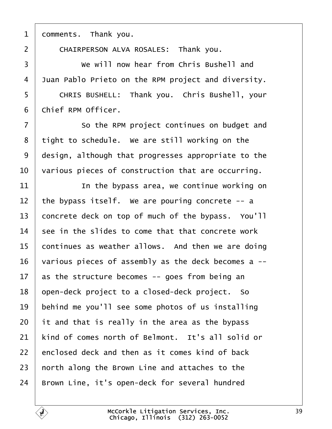<span id="page-38-0"></span>1 domments. Thank you.

2 | CHAIRPERSON ALVA ROSALES: Thank you. 3 **We will now hear from Chris Bushell and** 4 Juan Pablo Prieto on the RPM project and diversity. 5 | CHRIS BUSHELL: Thank you. Chris Bushell, your 6 Chief RPM Officer. 7 **So the RPM project continues on budget and** 8 tight to schedule. We are still working on the 9 design, although that progresses appropriate to the 10 various pieces of construction that are occurring.  $11$   $\parallel$   $\parallel$  in the bypass area, we continue working on 12 the bypass itself. We are pouring concrete -- a 13 concrete deck on top of much of the bypass. You'll 14 see in the slides to come that that concrete work 15 continues as weather allows. And then we are doing 16 various pieces of assembly as the deck becomes a --17 as the structure becomes -- goes from being an 18 open-deck project to a closed-deck project. So 19 behind me you'll see some photos of us installing 20 it and that is really in the area as the bypass 21 kind of comes north of Belmont. It's all solid or 22 enclosed deck and then as it comes kind of back 23 horth along the Brown Line and attaches to the 24 Brown Line, it's open-deck for several hundred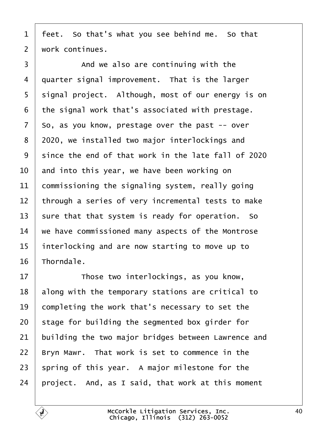<span id="page-39-0"></span>1 feet. So that's what you see behind me. So that

2 work continues.

 $\overline{3}$   $\overline{1}$  And we also are continuing with the 4 duarter signal improvement. That is the larger 5 signal project. Although, most of our energy is on ·6· ·the signal work that's associated with prestage. 7 So, as you know, prestage over the past -- over 8 2020, we installed two major interlockings and 9 since the end of that work in the late fall of 2020 10 and into this year, we have been working on 11 **commissioning the signaling system, really going** 12 through a series of very incremental tests to make 13 sure that that system is ready for operation. So 14 we have commissioned many aspects of the Montrose 15 interlocking and are now starting to move up to 16 Thorndale. 17 **Those two interlockings, as you know,** 18 along with the temporary stations are critical to 19 completing the work that's necessary to set the 20 stage for building the segmented box girder for 21 building the two major bridges between Lawrence and 22 Bryn Mawr. That work is set to commence in the

- 23 spring of this year. A major milestone for the
- 24 project. And, as I said, that work at this moment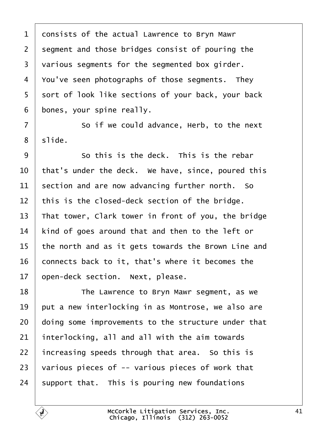<span id="page-40-0"></span>1 donsists of the actual Lawrence to Bryn Mawr 2 segment and those bridges consist of pouring the 3 various segments for the segmented box girder. 4 You've seen photographs of those segments. They 5 sort of look like sections of your back, your back 6 bones, your spine really. 7 **So** if we could advance, Herb, to the next 8 slide.  $\overline{9}$   $\overline{9}$   $\overline{5}$  So this is the deck. This is the rebar 10 that's under the deck. We have, since, poured this 11 section and are now advancing further north. So 12 this is the closed-deck section of the bridge. 13 That tower, Clark tower in front of you, the bridge 14 kind of goes around that and then to the left or 15 the north and as it gets towards the Brown Line and 16 connects back to it, that's where it becomes the 17 open-deck section. Next, please. 18 **The Lawrence to Bryn Mawr segment, as we** 19 but a new interlocking in as Montrose, we also are 20 doing some improvements to the structure under that 21 interlocking, all and all with the aim towards 22 increasing speeds through that area. So this is 23 various pieces of  $-$  various pieces of work that 24 support that. This is pouring new foundations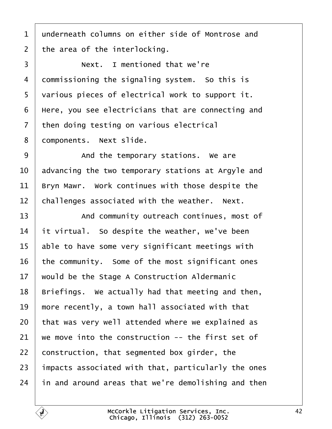- <span id="page-41-0"></span>1 underneath columns on either side of Montrose and
- 2 the area of the interlocking.
- 3 **I** Next. I mentioned that we're 4 dommissioning the signaling system. So this is 5 various pieces of electrical work to support it. 6 Here, you see electricians that are connecting and 7 then doing testing on various electrical 8 domponents. Next slide. 9 And the temporary stations. We are 10 advancing the two temporary stations at Argyle and 11 Bryn Mawr. Work continues with those despite the 12 challenges associated with the weather. Next. 13 | And community outreach continues, most of 14 it virtual. So despite the weather, we've been 15 able to have some very significant meetings with 16 the community. Some of the most significant ones 17 would be the Stage A Construction Aldermanic 18 Briefings. We actually had that meeting and then, 19 more recently, a town hall associated with that 20 that was very well attended where we explained as 21 we move into the construction  $-$  the first set of 22 construction, that segmented box girder, the 23 impacts associated with that, particularly the ones 24 in and around areas that we're demolishing and then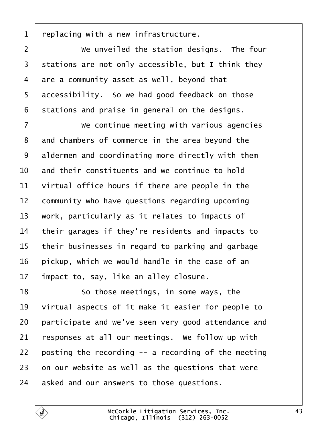<span id="page-42-0"></span>1 replacing with a new infrastructure. 2 **We unveiled the station designs. The four** 3 stations are not only accessible, but I think they 4 are a community asset as well, beyond that 5 dccessibility. So we had good feedback on those 6 stations and praise in general on the designs. 7 Ve continue meeting with various agencies 8 and chambers of commerce in the area beyond the 9 aldermen and coordinating more directly with them 10 and their constituents and we continue to hold 11  $\theta$  virtual office hours if there are people in the 12 community who have questions regarding upcoming 13 work, particularly as it relates to impacts of 14 their garages if they're residents and impacts to 15 their businesses in regard to parking and garbage 16 pickup, which we would handle in the case of an 17 impact to, say, like an alley closure. 18 **So those meetings, in some ways, the** 19  $\sqrt{ }$  virtual aspects of it make it easier for people to 20 participate and we've seen very good attendance and 21 responses at all our meetings. We follow up with 22 posting the recording  $-$  a recording of the meeting 23  $\,$  on our website as well as the questions that were 24 asked and our answers to those questions.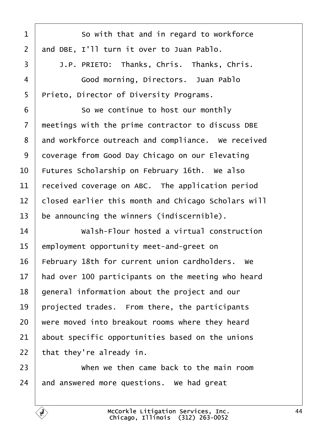<span id="page-43-0"></span>

| 1              | So with that and in regard to workforce             |
|----------------|-----------------------------------------------------|
| $\overline{2}$ | and DBE, I'll turn it over to Juan Pablo.           |
| 3              | J.P. PRIETO: Thanks, Chris. Thanks, Chris.          |
| 4              | Good morning, Directors. Juan Pablo                 |
| 5              | Prieto, Director of Diversity Programs.             |
| 6              | So we continue to host our monthly                  |
| $\overline{7}$ | meetings with the prime contractor to discuss DBE   |
| 8              | and workforce outreach and compliance. We received  |
| 9              | doverage from Good Day Chicago on our Elevating     |
| 10             | Futures Scholarship on February 16th. We also       |
| 11             | received coverage on ABC. The application period    |
| 12             | closed earlier this month and Chicago Scholars will |
| 13             | be announcing the winners (indiscernible).          |
| 14             | Walsh-Flour hosted a virtual construction           |
| 15             | employment opportunity meet-and-greet on            |
| 16             | February 18th for current union cardholders. We     |
| 17             | had over 100 participants on the meeting who heard  |
| 18             | general information about the project and our       |
| 19             | projected trades. From there, the participants      |
| 20             | were moved into breakout rooms where they heard     |
| 21             | about specific opportunities based on the unions    |
| 22             | that they're already in.                            |
| 23             | When we then came back to the main room             |
| 24             | and answered more questions. We had great           |

 $\overline{1}$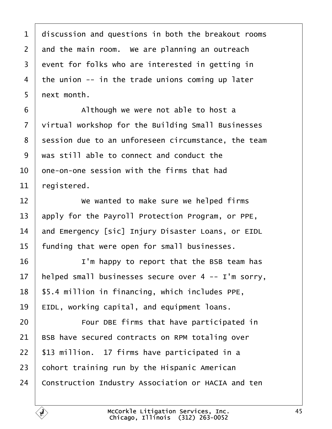<span id="page-44-0"></span>

| 1              | discussion and questions in both the breakout rooms |
|----------------|-----------------------------------------------------|
| 2              | and the main room. We are planning an outreach      |
| 3              | event for folks who are interested in getting in    |
| 4              | the union -- in the trade unions coming up later    |
| 5              | next month.                                         |
| 6              | Although we were not able to host a                 |
| $\overline{7}$ | virtual workshop for the Building Small Businesses  |
| 8              | session due to an unforeseen circumstance, the team |
| 9              | was still able to connect and conduct the           |
| 10             | one-on-one session with the firms that had          |
| 11             | registered.                                         |
| 12             | We wanted to make sure we helped firms              |
| 13             | apply for the Payroll Protection Program, or PPE,   |
| 14             | and Emergency [sic] Injury Disaster Loans, or EIDL  |
| 15             | funding that were open for small businesses.        |
| 16             | I'm happy to report that the BSB team has           |
| 17             | helped small businesses secure over 4 -- I'm sorry, |
| 18             | \$5.4 million in financing, which includes PPE,     |
| 19             | EIDL, working capital, and equipment loans.         |
| 20             | Four DBE firms that have participated in            |
| 21             | BSB have secured contracts on RPM totaling over     |
| 22             | \$13 million. 17 firms have participated in a       |
| 23             | cohort training run by the Hispanic American        |
| 24             | Construction Industry Association or HACIA and ten  |
|                |                                                     |

Г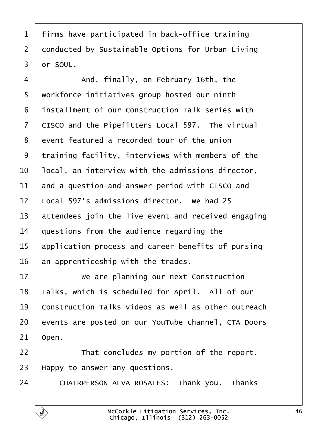<span id="page-45-0"></span>

|  |  |  | 1 firms have participated in back-office training |  |  |  |
|--|--|--|---------------------------------------------------|--|--|--|
|--|--|--|---------------------------------------------------|--|--|--|

- 2 donducted by Sustainable Options for Urban Living
- 3 dr SOUL.
- 4 | And, finally, on February 16th, the
- 5 workforce initiatives group hosted our ninth
- ·6· ·installment of our Construction Talk series with
- 7 CISCO and the Pipefitters Local 597. The virtual
- 8 event featured a recorded tour of the union
- 9 training facility, interviews with members of the
- 10 local, an interview with the admissions director,
- 11 and a question-and-answer period with CISCO and
- 12 Local 597's admissions director. We had 25
- 13 attendees join the live event and received engaging
- 14 duestions from the audience regarding the
- 15 application process and career benefits of pursing
- 16 an apprenticeship with the trades.
- 17 We are planning our next Construction
- 18 Talks, which is scheduled for April. All of our
- 19 Construction Talks videos as well as other outreach
- 20 events are posted on our YouTube channel, CTA Doors
- 21 Open.
- $22$  | That concludes my portion of the report.
- 23 Happy to answer any questions.
- 24 | CHAIRPERSON ALVA ROSALES: Thank you. Thanks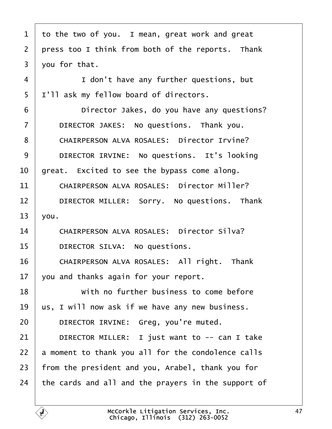| 1              | to the two of you. I mean, great work and great     |
|----------------|-----------------------------------------------------|
| $\overline{2}$ | press too I think from both of the reports. Thank   |
| 3              | you for that.                                       |
| $\overline{4}$ | I don't have any further questions, but             |
| 5              | I'll ask my fellow board of directors.              |
| 6              | Director Jakes, do you have any questions?          |
| 7              | DIRECTOR JAKES: No questions. Thank you.            |
| 8              | <b>CHAIRPERSON ALVA ROSALES: Director Irvine?</b>   |
| 9              | DIRECTOR IRVINE: No questions. It's looking         |
| 10             | great. Excited to see the bypass come along.        |
| 11             | <b>CHAIRPERSON ALVA ROSALES: Director Miller?</b>   |
| 12             | DIRECTOR MILLER: Sorry. No questions. Thank         |
| 13             | you.                                                |
| 14             | <b>CHAIRPERSON ALVA ROSALES: Director Silva?</b>    |
| 15             | DIRECTOR SILVA: No questions.                       |
| 16             | CHAIRPERSON ALVA ROSALES: All right. Thank          |
| 17             | you and thanks again for your report.               |
| 18             | With no further business to come before             |
| 19             | us, I will now ask if we have any new business.     |
| 20             | DIRECTOR IRVINE: Greg, you're muted.                |
| 21             | DIRECTOR MILLER: I just want to -- can I take       |
| 22             | a moment to thank you all for the condolence calls  |
| 23             | from the president and you, Arabel, thank you for   |
| 24             | the cards and all and the prayers in the support of |
|                |                                                     |

 $\Gamma$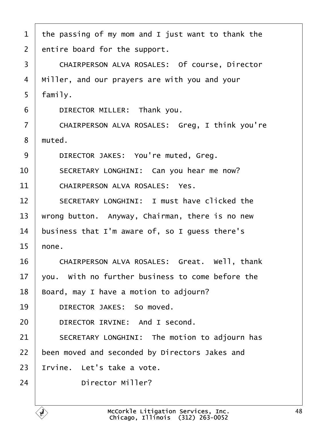- 1 the passing of my mom and I just want to thank the
- 2 entire board for the support.
- 3 | CHAIRPERSON ALVA ROSALES: Of course, Director
- 4 Miller, and our prayers are with you and your
- 5 family.
- 6 | DIRECTOR MILLER: Thank you.
- 7 | CHAIRPERSON ALVA ROSALES: Greg, I think you're
- 8 muted.
- 9 | DIRECTOR JAKES: You're muted, Greg.
- 10 | SECRETARY LONGHINI: Can you hear me now?
- 11 CHAIRPERSON ALVA ROSALES: Yes.
- 12 **SECRETARY LONGHINI: I must have clicked the**
- 13 wrong button. Anyway, Chairman, there is no new
- 14 business that I'm aware of, so I guess there's
- $15$  hone.
- 16 | CHAIRPERSON ALVA ROSALES: Great. Well, thank
- 17  $\sqrt{2}$  vou. With no further business to come before the
- 18 Board, may I have a motion to adjourn?
- 19 | DIRECTOR JAKES: So moved.
- 20 | DIRECTOR IRVINE: And I second.
- 21 | SECRETARY LONGHINI: The motion to adjourn has
- 22 been moved and seconded by Directors Jakes and
- 23 Irvine. Let's take a vote.
- 24 Director Miller?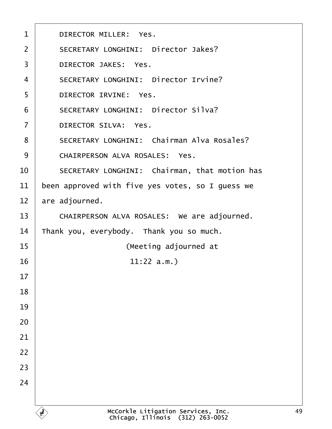| 1              | <b>DIRECTOR MILLER: Yes.</b>                      |
|----------------|---------------------------------------------------|
| 2              | <b>SECRETARY LONGHINI: Director Jakes?</b>        |
| 3              | <b>DIRECTOR JAKES: Yes.</b>                       |
| $\overline{4}$ | <b>SECRETARY LONGHINI: Director Irvine?</b>       |
| 5              | DIRECTOR IRVINE: Yes.                             |
| 6              | <b>SECRETARY LONGHINI: Director Silva?</b>        |
| $\overline{7}$ | <b>DIRECTOR SILVA: Yes.</b>                       |
| 8              | <b>SECRETARY LONGHINI: Chairman Alva Rosales?</b> |
| 9              | <b>CHAIRPERSON ALVA ROSALES: Yes.</b>             |
| 10             | SECRETARY LONGHINI: Chairman, that motion has     |
| 11             | been approved with five yes votes, so I guess we  |
| 12             | are adjourned.                                    |
| 13             | CHAIRPERSON ALVA ROSALES: We are adjourned.       |
| 14             | Thank you, everybody. Thank you so much.          |
| 15             | (Meeting adjourned at                             |
| 16             | $11:22$ a.m.)                                     |
| 17             |                                                   |
| 18             |                                                   |
| 19             |                                                   |
| 20             |                                                   |
| 21             |                                                   |
| 22             |                                                   |
| 23             |                                                   |
| 24             |                                                   |
|                |                                                   |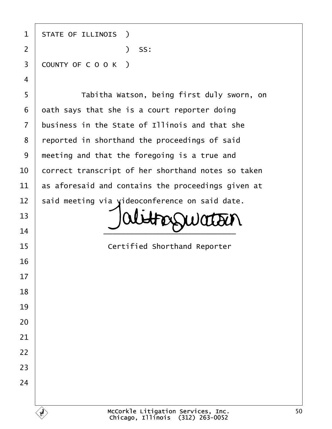| 1              | <b>STATE OF ILLINOIS</b> )                         |
|----------------|----------------------------------------------------|
| $\overline{2}$ | ) SS:                                              |
| 3              | COUNTY OF COOK)                                    |
| $\overline{4}$ |                                                    |
| 5              | Tabitha Watson, being first duly sworn, on         |
| 6              | dath says that she is a court reporter doing       |
| $\overline{7}$ | business in the State of Illinois and that she     |
| 8              | reported in shorthand the proceedings of said      |
| $9\,$          | meeting and that the foregoing is a true and       |
| 10             | correct transcript of her shorthand notes so taken |
| 11             | as aforesaid and contains the proceedings given at |
| 12             | said meeting via videoconference on said date.     |
| 13             |                                                    |
| 14             |                                                    |
| 15             | <b>Certified Shorthand Reporter</b>                |
| 16             |                                                    |
| 17             |                                                    |
| 18             |                                                    |
| 19             |                                                    |
| 20             |                                                    |
| 21             |                                                    |
| 22             |                                                    |
| 23             |                                                    |
| 24             |                                                    |
|                |                                                    |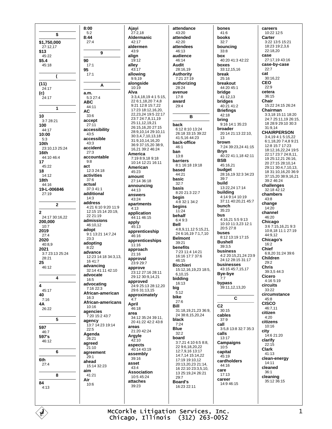$8:00$ \$  $8:44$ \$1,750,000  $27:12,17$ \$13 45:22  $$5.4$ 90  $45.18$  $95\,$  $\overline{ }$  $(11)$  $24:17$  $(c)$ a.m.  $24:17$ ARC  $\overline{1}$ **AC**  $10$ 3:7 28:21 accept 100 accessibility  $44.17$ 10:00 accessible  $5:3$  $10<sub>th</sub>$ 23:10,13 25:24 accident 16th accountable 44:10 46:4  $17$  $45:22$ act 18 activities 14:12  $18<sub>th</sub>$ 44:16 actual 19-L-006846 additional  $27:19$ address  $\overline{2}$  $\overline{2}$ 24:17 30:16,22 admissions 200,000  $10:7$ adopt 2019  $27.4$ 2020 adopting 40:8.9 2021 advance 3:7 23:13 25:24 28:21 25 advancing 46:12 advocate  $\overline{A}$ advocating  $\overline{\mathbf{4}}$  $45:17$ 40  $7:16$  $4A$  $26.22$ agencies  $\overline{5}$ agency 597  $46:7$ Agenda 597's 46:12 agreed 6 agreement 6th ahead  $27:4$ aim 8 Air 84  $4:13$ 

 $5:2$ 

 $27.4$ 

 $17.1$ 

 $17.1$ 

5:3 27:4

 $44.11$ 

33:6

 $27.11$ 

43:5

 $43:3$ 

 $27:3$ 

 $9:8$ 

 $37:6$ 

 $14.3$ 

12:3 24:18

37:3 41:1

22 21:19

46:10.12

23:3

 $8:22$ 

 $1641.7$ 

 $16:5$ 

 $16:3$ 

 $10.16$ 

 $22:5$ 

26:21

 $51:10$ 

 $29.1$ 

 $41.21$ 

 $10.6$ 

15:14 32:23

7:20 15:2 43:7

7:16 22:3

 $\overline{9}$ 

A

Ajayi  $27:2,18$ **Aldermanic**  $42.17$ aldermen  $43.9$ align  $19:12$ allev  $43:17$ allowing 9:9,19 alongside  $10:19$ Alva 3:3,4,18,19 4:1 5:15, 22 6:1.18.20 7:4.8 9:21 12:8 15:7.22 17:23 18:12,16,20, 22, 23, 24 19:5 22:17 23:7 24:7,8,11,19 25:11,12,19,21 26:15,16,20 27:15 28:9,10,14 29:10,11 30:3,4,7,10,13,18 31:9,10,14,16,20 36:9 37:15.20 38:9. 16 21 39 2 46 24 America 7:19 8:9.18 9:18 10:14 12:21 16:11 American  $45.23$ amount  $27.14$  36.18 announcing 44:13 answers  $43.24$ apartments 4:21 6:10 9:20 11:9  $4.13$ 12:15 15:14 20:19, application 44:11 46:15 apply  $45.13$ apprenticeship 9:1 13:21 14:7,24 46:16 apprenticeships 11:16 approach  $21:16$ 12:23 14:18 34:3,13, approval 23:9 29:7 approve 32:14 41:11 42:10 23:12 27:16 28:11 29:12 30:9,14,21 approved 24:9 25:13 28:12,20 29:6 31:13,15 African-american approximately  $4:7$ African-americans April 46:18 area 34:12 35:24 39:11. 20 41:22 42:2 43:8 13:7 14:23 19:14 areas  $21.2042.24$ Argyle  $42:10$ aspects 40:14 43:19 assembly 39:16 asset  $43:4$ **Association**  $10:545:24$ attaches 39:23

attendance 43:20 attended  $42.20$ attendees  $46.13$ audience 46:14 **Audit**  $28.1619$ **Authority** 7:21 27:19 authorizing 28:24 avenue  $17:8$ award  $29:4$ R back 6:12 8:10 13:24 26:18 33:15 39:22 41:5 16 44:23 back-office  $46:1$ ban  $13:8$ barriers 8:1 16:18 19:18 based  $44.21$ basic  $32.7$ basis 8:20 21:3 22:7 beain 4:8 32:1 34:2 begins  $11:24$ hehalf 6:4 9:3 **Bell** 4:8.9.11.12.5:15.21. 24 6:16,19 7:1,7,10 **Belmont**  $39.21$ benefits 7:23 11:4 14:21 16:16 17:7 37:6 46:15 **Ricchieri** 15:12.16.19.23 18:5. 6.10.15 bidding 16:13 big  $5.12$ bike  $27:6$ **Bill** 31:18,19,21,23 36:9, 24 38 8 15 20 24 black  $7.24$ **Blue**  $32:2$ board  $3:7.21$  4:10 6:5 8:8. 22 9 6 18 20 22 12:7.9.16 13:17 14:7,14 15:14,22 17:19 19:10 12 20:13,20,23 21:14, 16 22:10 23:3,5,10, 13 25:19,24 26:21  $29 - 7$ **Board's**  $16:23.22:11$ 

bones  $41:6$ books  $32.7$ houncing  $33.8$ box 40:20 41:3 42:22 boxes  $33.12$  15 16 break 25:16 **hreakout** 44:20 45:1 bridge  $41:12,13$ bridges 40:21 41:2 **Briefings**  $42:18$ bring 9:16 14:1 35:23 broader 20:14 21:13 22:10.  $13$ brown 7:24 39:23,24 41:15 **Bryn** 40:22 41:1,18 42:11 **BSB** 45:16.21 budget 28:16,19 32:3 34:23  $39.7$ build 13:22,24 17:14 building 4:14 9:14 10:19 37:11 40:20,21 45:7 bunch  $35.23$ bus 4:16,21 5:5 9:13 10:10 11:3 23 12:1  $20.527.8$ buses 8:12 13:19 17:15 **Bushell**  $39.35$ business 4:2 20:15,21,24 23:9 24:12 28:15 31:17 businesses 43:15 45:7,15,17 Bye-bye  $7.7$ bypass 39:11,12,13,20 C  $C<sub>2</sub>$  $30.15$ cables  $37:9$ call 3:5,8 13:8 32:7 35:3 calls 13:17 Campaigns  $10:5$ capital  $45:19$ cardholders  $44.16$ care  $17:13$ career 14:9 46:15

careers 10:22 12:5 Carter  $3.22$  13:5 15:21 18:23 19:2.3.6  $22.18.20$ case 27:17,19 43:16 case-by-case  $22:7$ cat 30:16,22 **CEO**  $22:9$ cetera  $36:15$ Chair 15:22 24:15 26:24 Chairman 3:3,18 15:11 18:20 24:7 25:11,19 26:15, 18 28:9 29:10 30:3  $31.914$ **CHAIRPERSON** 3:4.19 4:1 5:15.22 6:1.18.20 7:4.8 9:21 12:8 15:7 17:23 18:12,16,22,24 19:5 22:17 23:7 24:8,11, 19 25:12,21 26:16, 20 27:15 28:10,14 29:11 30:4,7,10,13, 18 31:10,16,20 36:9 37:15,20 38:9,16,21  $39.246.24$ challenges  $32.18 \overline{42.12}$ chambers  $43.8$ change  $14.20$ channel 46:20 Chicago<br>3:6 7:15,16,21 9:3 10:8.18 11:1 27:19  $44.912$ Chicago's  $16.2$ **Chief** 6:8,20 31:24 39:6 **Children**  $29.2$ Chris 39:3,5 44:3 Cicero 4:16 5:19 circuits  $33.22$ circumstance  $45:8$ **CISCO** 46:7.11 citizon  $4.20$ citizens  $10:16$ city  $14.621.20$ clarify  $22:15$ **Clark**  $41.13$ clean-energy 14:11 cleaned  $36.1$ cleaning 35:12 36:15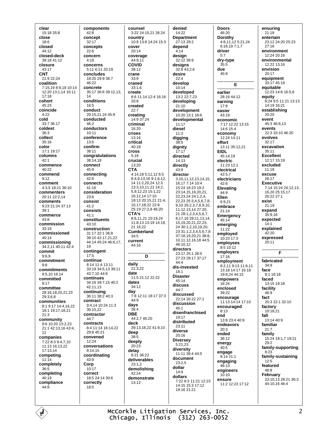clear 15:18 35:8 close  $18.6$ closed 44:12 closed-deck 39:18 41:12 closure  $43.17$ **CNT** 21:9 22:24 coalition 7:15,19 8:9,18 10:14 12:20 13:1 14 16:11  $17:18$ cohort 45:23 coincide  $4:22$ cold  $33.736.17$ coldest  $36:3$ collect  $35.16$ color 17:1 19:17 columns  $42.1$ commence  $40.22$ commend  $9:12$ comment 4:3,5 18:21 36:10 commenters  $20.1122.214$ comments 9:23 21:24 37:13  $39.1$ commerce  $43.8$ commission 33:19 commissioned  $40:14$ commissioning 34:2.11 40:11 42:4 commit  $9:6,9$ commitment  $9.8$ commitments 9:5,10 16:14 committed  $9.17$ committee 28:16,18,20,21,23  $29.368$ communities 8:1 9:17 14:4,16,22 18:1 19:17,18,21  $21.3$ community 9:6 10:20 13:2,23 21:1 42:13,16 43:4,  $12$ companies 7:22 8:3 9:4,7,10 11:13 16:13,22 17:13,14 competing  $11.14$ completely  $36:5$ completing  $40:19$ compliance  $44:8$ 

components  $42.8$ concept  $32.17$ concents  $22.6$ concern 4:19 concerns 5:11 6:11 20:19 concludes 18:20 29:9 36:7  $46.22$ concrete 35:17 36:6 39:12.13. 14 conditions 16:5 conduct 20:15,21,24 45:9 conducted  $46.2$ conductors  $10:11$ conference  $13.6$ confirm 38:11 congratulations 38:14,18 connect  $45.9$ connecting  $42:6$ connects  $41:16$ consideration  $23.6$ consist  $41:2$ consists  $41.1$ constituents  $43:10$ construction 31:17 32:1 36:8 39:10 42:17.21.22 44:14 45:24 46:6.17.  $1<sub>Q</sub>$ contingent  $17:5$ continue 8:14 11:4 13:11 33:19 34:5,13 39:11 43:7,10 44:6 continues 34:16 39:7.15 40:2 42:11,13 continuing 36:11 38:2 40:3 contract 9:4 14 10:24 11:3 30:15.22 contractor 44:7 contracts 8:4 11:14 16:14,22 29:8 45:21 convened  $12:24$ conversations 8:14,15 coordinating  $43.9$ Corp 10:17 correct 18:5 24:14 30:6 correctly  $18:5$ 

counsel 3:22 24:15,21 26:24 country  $10.913.814.2415.3$ cover  $20.14$ coverage 44:9,11 COVID  $38.12$ crane 33:9 craned  $33:1.6$ create 8:6 11:14 12:4 16:16  $20.8$ created  $22.7$ creating<br> $14:9 37:24$ criminal 16:20 crises  $13:16$ critical 40:18 cross  $5:19$ crucial  $13:20$ **CTA** 4:14,18 5:11,12 6:5 8:4,9,13,16 9:1,6,12, 14 11:2,20,24 12:3 13:3,10,11,21 14:2, 5,9,12,23 15:1,22 16:12,14 17:10 19:13 20:15,21 21:4, 10.17.18.22 22:8 25:19 27:2.8 46:20  $CTA's$ 8:6.11.21 10:19.24 11:8,13 13:19 14:18,  $21.16:22$ Cumberland  $34:5$ current 44:16 D daily  $21:3.22$ date 11:5 21:12 22:22 dates  $34.12$ dav 7:8 12:11 18:17 37:3  $44:9$ days  $36.4$ **DBE** 44:2,7 45:20 deck 39:13,16,22 41:9,10 deep  $38:5$ deeply  $20:23$ delav  $8:21.36:22$ deliverables  $23:1.2$ demolishing 42:24 demonstrate  $13.12$ 

denied 14:22 **Department**  $27.1329.2$ depend  $4:14$ design 32:12 39:9 designs  $32.843.26$ desire  $22:4$ develop  $10:14$ developed 13:2 22:7,23 developing  $21:10$ development 10:20 13:1 16:6 developmental  $11:17$ diesel  $11:3$ digging  $38 - 5$ dignity  $17:17$ directed  $14.13$ directly  $43.9$ director 3:10,11,12,13,14,15, 16.17 7:14 10:4 15:24 18:23 19:2 23:14.15.19.20.21. 22 23 24 24 1 2 4 22,23 25:3,4,5,6,7,8, 9,10 26:2,3,7,8,9,10, 11.12.13.14 27:20. 21 28:1.2.3.4.5.6.7. 8,17,18 29:11,13,14, 15, 19, 20, 21, 22, 23, 24 30:1,2,10,19,20, 23 31:1, 2, 3, 4, 5, 6, 7, 8 37:18,19,20,21 38:8, 10,11,12,16,18 44:5 46:10.12 directors 23:17.25:1.26:5 27:23 29:17 37:17  $44.4$ dis-invested  $16:1$ **Disaster**  $45:14$ discuss  $44.7$ discussed 22:14 26:22 27:1 discussion  $45:1$ disenfranchised 19:17 distributed  $23:11$ diverse  $20.16$ **Diversey**  $5:21,23$ diversity 11:11 39:4 44:5 document 23:2,5 dollar  $14.9$ dollars 7:22 8:3 11:21 12:23  $14.15$  15:3 17:12 19:16 21:21

**Doors** 46:20 Dorothy 4:8,11,12 5:21,24 6:16.19 7:1.7 driver  $5:7$ dry-type  $35.5$ due  $45.8$ E earlier 28:19 44:12 earning  $17:8$ easier  $43.19$ economic 7:17 12:22 13:15 14:6 15:4 economy 12:24 14:11 effort 13:11 35:12,21 **EIDL** 45:14,19 electric  $11.23121$ electrical  $42.57$ electricians  $42.6$ Elevating 44:9 Ellen  $6.921$ embrace  $21:14$ Emergency  $45:14$ emerging  $11:22$ employed  $10:23$  17:3 employees  $8:510:12$ employers  $17.16$ employment 8:2,11 9:13 11:6,11 13:18 14:17 16:18 19:8,24 44:15 empowers 16:24 enclosed 39:22 encourage 11:13 14:14 17:10 encouraged  $8.13$ end 13:8 23:4 40:9 endeavors  $20:3$ ended  $36:12$ energy  $40:5$ engage  $8.14.211$ engaging  $46:13$ engineers  $10:10$ ensure 11:2 12:23 17:12

ensuring  $21:18$ entertain 23:12 24:20 25:23  $27:16$ environment  $12.2420.16$ environmental  $12.2213.16$ envision  $20.17$ equipment 33:17 45:19 equitable  $12.231461656$ equity 8.24 9.5 11.21 13:13 14:19 16:21 establishing 20:20 event 45:3 46:8 13 events 22:3 33:10 46:20 evolves  $32.17$ excavation 35:11 **Excellent** 12:17 15:19 excluded  $11:18$ excuse 26:17 **Executive** 7:14 15:24 24:12,13, 16.20 25:15.17  $26.2227.1$ exist  $21.19$ expand  $35:9,18$ expected  $14.1$ explained 42:20 expressed  $20:11$ F fabricated  $34:9$ face 8:1 16:18 faced 13:15 19:18 facility  $46.9$ fact 20:3 22:1 32:10 factory  $10.1821$ fall  $13:1440.9$ familiar  $21:7$ family 15:24 18:1.7 19:21  $29.2$ family-supporting  $8:23$ family-sustaining  $12.5$ featured 46:8 February 23:10,13 28:21 36:3  $44.1016464$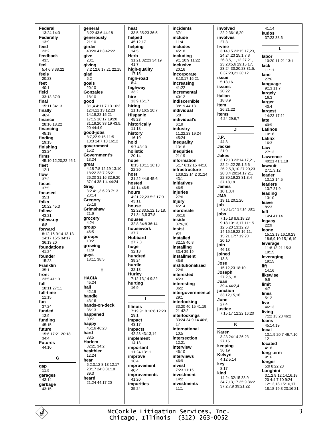Federal 13:24 14:3 Federally  $13.9$ feed  $23.2$ feedback 43:5 feel  $5.463338.22$ feels 20:23 feet  $40:1$ field 33:13 37:9 final 15:11 34:13 finally  $46:4$ finance 28:16,18,22 financing 45:18 finding  $19.15$ finishing 33:24 firms 45:10 12 20 22 46:1 fleet  $12.1$ flow  $37:2$ focus  $37.5$ focused  $35:1$ folks 10:22 45:3 follow  $43.21$ follow-up  $6:8$ forward 8:12 16 9:14 13:13 14:17 15:5 34:17  $36:13.20$ foundations 41:24 founder 15:23 **Franklin**  $35:1$ front  $23:541:13$ full  $18.11$   $27.11$ full-time  $11:15$ fun  $37:24$ funded  $13:9$ funding 45:15 future 15:6 17:21 20:18  $34.4$ **Futures** 44:10 G  $gap$  $11:9$ garages  $43.14$ garbage  $43:15$ 

general 3:22 43:6 44:18 generously  $21:10$ girder 40:20 41:3 42:22 give  $23:1$ givina  $7:2$  12:6 17:21 22:15 glad  $6:2$ goals 20:10 **Gonzales** 18:10 good 3:1.4 4:11 7:13 10:3 12:4,11 13:12,23 14:18,22 15:21 17:15 18:17 19:20 31:19,20 38:19 43:5,  $20.44 \cdot 4.9$ good-jobs 8:7,22 9:15 11:5 13:3 14:7.13 16:12 government 15:2 Government's  $13.24$ great 4:18 7:8 12:19 13:10 18:22 23:7 25:21 26:20 31:16 32:9.20 37:14 38:1,4 44:24 Greg<br>3:2 4:1.3 6:23 7:13  $28.14$ Gregory  $25:18$ Grimshaw  $21.9$ grocery  $4:24$ group  $46.5$ groups  $10:21$ growing  $11:9$ guys 18:11 38:5 н **HACIA** 45:24 hall 42:19 handle  $43:16$ hands-on-deck  $36.13$ happened  $33:7$ hanny  $45.1646.23$ hard  $38:5$ **Harlem** 32:21 34:2 healthier  $12:24$ hear 6:2,3,12 8:13 12:17 20:17 24:3 31:18  $39:3$ heard 21:24 44:17.20

heat 33:5 35:23 36:5 helped 45:12.17 helping  $14.5$ Herb 31:21 32:23 34:19  $41.7$ high-quality  $17.15$ high-road highway  $33.2$ hire 13:9 16:17 hiring 11:18 16:5 20:7 Hispanic  $45.23$ historically  $11:18$ history  $16:19$ hold 9:7 43:10 holistic  $20:14$ hone 8:15 13:11 16:13  $22.20$ host 31:22 44:6 45:6 hosted 44:14 46:5 hours 4:21,22,23 5:2 17:9  $43:11$ house 32:22 33:5,12,15,18, 21 34:3,6 37:8 houses  $32:834:836:14$ housework  $37:7$ **Hubbard**  $27:7.8$ huge  $32.13$ hundred  $39:24$ hurdle  $32.13$ **Hurley** 7:12,13,14 9:22 hurting 16:9  $\blacksquare$ **Illinois** 7:19 9:18 10:8 12:20  $29.1$ impact  $43:17$ **impacts** 42:23 43:13.14 implement  $14.13$ important 11:24 13:11 improve  $16.4$ improvement  $40:4$ improvements  $41:20$ impurities  $35:24$ 

incidents  $37:1$ include  $11.4$ includes  $45.18$ including 9:1 10:9 11:22 inclusive  $20.16$ incorporate 8:10,17 16:21 increasing 41:22 incremental 40:12 indiscernible 38:19 44:13 individual  $6:8$ individual's  $6:19$ industry 11:22,23 19:24  $45.24$ inequality  $13:16$ inequities  $21:19$ information 5:17 6:12,15 44:18 infractructure 13:9.22 14:2 31:24  $43:1$ initiatives 46:5 injuries 27:6 Injury 45:14 inordinate  $36.18$ inside 37:6,10 insist  $9:4$ installed  $32.1540.8$ installing 33:4 39:19 installment  $46:6$ institutionalized  $22:6$ interested  $45.3$ interesting  $36.2$ intergovernmental  $29:1$ interlocking 33:20 40:15 41:19, 21 42:2 interlockings 33:24 34:9.14 40:8. 17 International  $10.5$ intersection  $12.21$ interview 46:10 interviews 46:9 invest  $7.2311.15$ investment  $14:2$ investments  $11.1$ 

involved 22:2 36:16,20 involves  $27.3$ Irvine 3:14,15 23:15,17,23, 24 24:23 25:1,7,8 26:3,5,11,12 27:21, 23 28:5,6 29:15,17, 23,24 30:20,23 31:5, 6 37:20.21 38:12 issue  $5:13.16$ **issues**  $20.22$ **Italian** 18:8,9 item  $26.21.22$ items 4:24 29:6,7 J J.P. 44:3 Jackie  $21.9$ **Jakes** 3:12,13 23:14,17,21, 22 24:22 25:1,5,6 26:2,5,9,10 27:20,23 28:3,4 29:14,17,21, 22 30:19,23 31:3,4 37:18.19 James 10:1.3.4 **JMA** 19:11 20:1,20 job 7:23 17:7 37:14 38:1 jobs 7:15.18 8:8.18.23 9:18 10:13,17 11:15 12:5.20 13:12.23 14:16,19,22 16:11, 15,21 17:7 19:20  $20.10$ ioin  $46.13$ ioined  $13.8$ Jose 15:12,23 18:10 Joseph  $27.2518$ Juan 39:4 44:2,4 junction  $33.12$  15 16 June  $27.4$ justice 7:15,17 12:22 16:20 K Karen 3:23 24:14 26:23  $27.15$ keeping 36:19 Kelvyn  $4.12514$ key  $8.17$ kind 14:24 32:15 33:9 34:7,13,17 35:9 36:2 37:2,7,9 39:21,22

 $A1.1A$ kudos 37:23 38:6 L labor 10:20 11:21 13:1 lack  $11:11$ lane  $27:6$ language  $9:1311:7$ largely 16:3 larger  $40:4$ largest 14:23 17:11 late  $40:9$ **Latinos**  $10.16$ Latinx  $16:3$ Law  $27.13$ Lawrence 40:21 41:1.18 lawsuit 27:1,3,12 leader  $13.1214.5$ leaders 13:7 21:9 leading  $13:10$ leave  $8.23$ left 14:4 41:14 legacy  $22.9$ leone 15:12,13,16,19,23 18:6,9,10,15,16,19 leverage 11:8 13:21 15:3  $19.15$ leveraging  $19:15$ lift  $14.16$ likewise  $Q·5$ limit  $4:7$ lines  $5:12$ live  $46.13$ living 7:22 13:23 46:2 loans  $45:1419$ local 13:1,9 20:7 46:7,10, 12 located  $4.16$ long-term  $9.16$ longer  $5:98:22,23$ Longhini  $3:1,2,9,12,14,16,18.$ 20 4:4 7:10 9:24 12:12.18 15:10.17 18:18 19:3 23:16,21,

McCorkle Litigation Services, Inc. Chicago, Illinois (312) 263-0052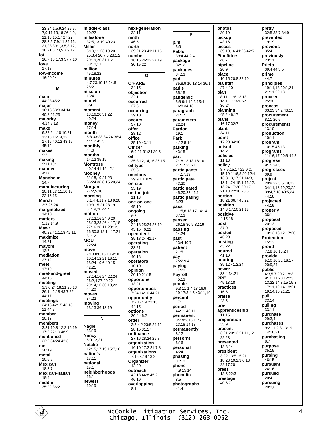23 24:1.5.9.24 25:5. 7,9,11,13,18 26:4,9, 11.13.15.17 27:22 28:3,5,7,9,11 29:16, 21,23 30:1,3,5,8,12, 16,21 31:3,5,7,9,12 lot 16:7,18 17:3 37:7,10 love  $17:18$ low-income  $16:20.24$ M main  $44.2345.2$ maior 16:18 33:8 34:14 40:8,21,23 majority  $4:145:13$ make 6:22 9:4,18 10:21 13:18 16:14,23 17:16 40:12 43:19 45:12 makes  $9.2$ making  $9:11$  19:11 manner  $4:17$ Mannheim  $34.7$ manufacturing 10:11,23 11:10,19, 22 16:15 **March**  $3.725.24$ marginalized 14:10 matters 5:12 14:9 Mawr  $40:22$  41:1.18 42:11 maximize 14:21 mayors  $13-7$ mediation  $27:12$ meet  $17:19$ meet-and-greet  $44.15$ meeting 3:3,6,24 18:21 23:13 26:1 42:18 43:7,22 44:17 meetings 24:18 42:15 43:18,  $21.44 - 7$ member 10:13 members 3:21 10:8 12:2 16:19 17:2 22:10 46:9 mentioned  $22.234.2442.3$ met  $28.19$ metal  $10.69$ **Mexican** 18:3,7 Mexican-italian  $18.4$ middle 35:22 36:2

middle-class  $10:22$ milestone 32:5 13 19 40:23 **Miller** 3:10.11 23:19.20 25:3,4 26:7,8 28:1,2 29:19,20 31:1,2 38:10.11 million  $45:18.22$ minutes  $4.723 \cdot 1012246$  $28.21$ mission 16:4 model  $8.9$ moment 13:16,20 31:22  $40.24$ money  $17.14$ month 5:8 33:23 34:24 36:4 44:12 45:5 monthly 44:6 months  $14.12.35.19$ **Montrose** 40:14 41:19 42:1 **Mooney** 31:18.19.21.23 36:24 38:8.15.20.24 Morgan  $27:2,5,18$ morning 3:1,4 4:11 7:13 9:20 10:3 15:21 28:19 31:19,20 44:4 motion 23:12,16 24:9,20 25:13,23 26:4,17,18 27:16 28:11 29:12. 16 30:8,12,14,17,21  $31:12$ **MOU** 22:24 move 7:18 8:8.15.18 9:18 10:14 12:21 16:11 18:24 19:6 40:15  $42.21$ moved 23:14,16 24:22,24 26:2.4 27:20.22 29:14.16 30:19.22  $44.20$ moves 34:22 moving 13:13 36:13,19 N Nagle  $33.19$ **Nancy**  $6:9.12.21$ **Natalie** 12:15,17,19 15:7,10 nation's  $17.11$ national  $15:1$ neighborhoods  $16.1$ newest 10:19

next-generation  $32:11$ ninth  $46:5$ north 39:21,23 41:11,15 number 16:15 26:22 27:19 30:15,22  $\mathbf{o}$ **O'HARE**  $34:15$ objection  $22:1$ occurred  $27:3$ occurring  $39.10$ occurs 37:10 offer  $28.12$ office 25:19 43:11 **Officer** 6:9.21 31:24 39:6 oil 35:8 12 14 16 36:15 oil-type  $35:3$ omnibus 29:9,13 30:9 on-site  $35.19$ on-the-job 11:16 one-on-one  $45:10$ ongoing  $8:6$ open 24:18 25:24 26:19 45:15 46:21 open-deck  $39.182441.17$ operating 33:21 oneration  $40.13$ operators  $10:10$ opinion 20:19 21:15 opportune 13:21 opportunities 7:24 14:10 44:21 opportunity 7:2 17:19 22:15  $44.15$ options 20:4 46:2 order 3:5 4:2 23:8 24:12 28:15 31:17 ordinance 27:16 28:24 29:8 organization  $16.1017.221.78$ organizations  $7.168.1913.2$ Organizer  $12:20$ outreach 42:13 44:8 45:2  $46.19$ overlapping  $8:1$ 

P p.m.  $5:3$ Pablo 39:4 44:2.4 package  $32.12$ packages  $34:13$ pad 35:8 9 10 13 14 36:1 pad's  $35.15$ pandemic 5:8 9:1 12:3 15:4 16:8 34:18 paragraph  $24.17$ parameters  $22:24$ Pardon  $19.1$ Park 4:12 5:14 parking 43:15 part ---<br>7:18 13:18 16:10  $21.17.35.21$ participants 44:17,19 participate  $43.20$ participated 45:20,22 46:1 participating  $3.23$ pass 11:5.6 13:17 14:14  $37.13$ passed 26:18 30:9 32:19 passing 14:24 past 13:4 40:7 patient  $21:5$ pay  $7.22914$ paying  $14:22$ Payroll  $45.13$ people 9:3 11:1,4,18 16:9, 19 17:3,4,5 43:11,19 percent  $17:1$ period 44:11 46:11 permanent 8:7 9:2,15 11:6 13:18 14:18 permanently  $8:12$ person's  $6.16$ personal  $4:24$ phasing  $37.12$ phone 4:9 15:14 phonetic  $8.5$ photographs  $41:4$ 

photos  $39:19$ pickup  $43.16$ pieces 39:10,16 41:23 42:5 **Pipefitters** 46:7 pipeline  $20.9$ place 10:15 20:8 22:10 plaintiff 27:4.10 plan 8:11 11:6 13:18 14:1.17 19:8.24 36:24 planning 45:2 46:17 nlans  $16:17.32.7$ plant  $34:11$ point 17:20 34:10 poised  $14:2$ policies  $11.13$ policy 8:7,9,15,17,22 9:2, 15.19 11:6.8.20 12:4 13:3.13.17.21 14:8. 13.14.24 15:1 16:12. 13,24 17:20 20:17 21:13.22:10.23:5 portion 18:21 36:7 46:22 position 14:6 17:10 21:16 positive 4:15.18 post  $37:9$ posted 46:20 posting  $43.22$ poured  $41.10$ pouring 39:12 41:2,24 power 33:4 34:21 PPE  $45.1318$ practices 16:6 praise  $43.6$ preapprenticeship  $11:15$ preparation  $35.9$ present 3:21 20:13 21:11,12  $22:23$ presented  $13:3$  14 president 3:22 13:5 15:21 18:23 19:2,3,6,13 22:17.20 press  $13:622:3$ prestage 40:6,7

pretty 32:5 33:7 34:9 prevented  $19.19$ previous  $35.4$ previously 23:11 Prieto  $39.44435$ prime 44:7 principles 19:11, 13 20:1, 21  $21.1122.13$ proceed  $25.20$ process 33:23 34:2 46:15 procurement  $8.1120.5$ procurements 13:10 production  $10:11$ program 10:15 45:13 programs 11:16,17 20:8 44:5 progress  $9:15.34:5$ progresses  $39:9$ project 20:9 32:3,6,19,23 34:11,16,19,20,22 39:4.7.18 40:5.24  $44.18$ projected  $44.19$ properly  $36:1$ proposal  $20.13$ proposed 13:13 16:12 17:20 Protection 45:13 proud 7:18 10:13.24 provide 5:10 10:22 16:17 20:9,24 public 4:3,5 7:20,21 8:3  $9.1011.2012.23$ 13:22 14:8 15 15:3 17:11.12.14 18:21 19:14,16 21:21 pull 33:14 pulling  $33:11$ purchase 29:3.4 purchases 9:2 11:2,8 13:19 14:18.21 purchasing  $8:7$ purpose  $35:15$ pursing  $46.15$ pursuant 24:16 pursued  $20:4$ pursuing  $20:2,6$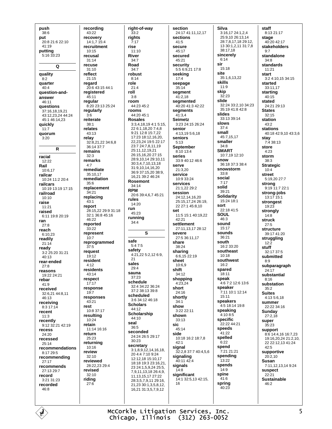push  $38:6$ put 20:8 21:6 22:10 41:19 putting 5:16 33:23 Q quality  $8:2$ quarter  $40:4$ question-andanswer 46:11 questions 37:16.18.19.21 43:12,23,24 44:24 45:1 46:14.23 quickly  $11:7$ quorum  $3.20$  $\overline{R}$ racial  $12:22$ Rail 10:6,17 railcar  $10:24$  11:2 20:4 railcars 10:19 13:19 17:15 railroad  $10:10$ raise  $11:21$ raised 6:11 19:8 20:19 ran  $27.8$ reach 6:10,23 readily  $21.14$ ready  $3:2$  25:20 31:21  $40.13$ rear-ended  $27:8$ reasons 19.22.24.21 rebar  $41.9$ received 32:6.21 44:8.11 46:13 receiving  $8:317:14$ recent  $11:3$ recently  $9:12$  32:21 42:19 recess 24:20 recessed  $25:14$ recommendations 8:17 29:5 recommending  $27:17$ recommends 27:13 29:7 record  $3.21.31.23$ recorded  $46.8$ 

recording 43:22 recovery  $14.1 \overline{7} 15.4$ recruitment  $10.15$ recusal  $31:14$ recuse  $31:10$ reflect 21:15 regard 20:6 43:15 44:1 registered 45:11 regular 8:20 23:13 25:24 regularly  $3:6$ reiterate  $38.1$ relates 43:13 relav 32:8.21.22 34:6.8  $36.14.37.7$ remains  $32:3$ remarks  $4:7$ remediate  $35:10.17$ remediation  $35:6$ replacement  $34.21$ replacing  $43:1$ report 28:15.22 29:9 31:18  $32.1.36.845.16$  $46.22$ reported  $33.22$ represent  $10:7$ reprogrammed  $37.5$ request  $19:12$ resident  $4.12$ residents 43:14 respect  $17:17$ response  $19 - 7$ responses 43:21 rest 10:8 37:17 resulting  $10.24$ retain 11:14 16:16 return  $25:23$ returning  $10:16$ review  $32.10$ reviewed 28.22.23.29:4 revised 32:10 riding  $27.6$ 

right-of-way  $\bar{3}3:2$ riahts  $7.17$ rise  $11:10$ **River**  $34:7$ Road  $34.7$ robust  $8:14$ role  $21:4$ roll  $3:8$ room 44:23 45:2 rooms 44:20 45:1 **Rosales** 3:3,4,18,19 4:1 5:15, 22 6:1,18,20 7:4,8 9:21 12:8 15:7,22 17:23 18:12,16,20, 22,23,24 19:5 22:17 23:7 24:7,8,11,19 25:11,12,19,21 26:15,16,20 27:15 28:9.10.14 29:10.11 30:3 4 7 10 13 18 31:9.10.14.16.20 36:9.37:15.20.38:9 16 21 39 2 46 24 Rosemont 34:14 **RPM** 20:6 39:4.6.7 45:21 rules 14:20 run 45:23 running  $34:4$ S safe  $5:47:5$ safety 4:21,22 5:2,12 6:9,  $21$ sales  $29.4$ sauna 37:23 schedule 32:4 34:22 36:24 37:2 38:13 39:8 scheduled 3:6 34:12 46:18 **Scholars**  $44.12$ **Scholarship**  $44.10$ seal  $36:5$ seconded 24:24 26:5 29:17  $30:23$ secretary  $3:1,8,9,12,14,16,18,$ 20 4:4 7:10 9:24 12:12,18 15:10,17 18:18 19:3 23:16,21, 23 24:1,5,9,24 25:5, 7,9,11,13,18 26:4,9, 11, 13, 15, 17 27:22 28:3,5,7,9,11 29:16, 21,23 30:1,3,5,8,12, 16,21 31:3,5,7,9,12

section 24:17 41:11,12,17 sections  $41.5$ **Secure**  $45.17$ secured 45:21 security  $5.56921178$ seeking  $17:4$ seepage 35:14 segment  $41:2,18$ segmented 40:20 41:3 42:22 segments  $41:3.4$ **Seimetz** 3.23.24.15.26.24 senior 4:13,19 5:6,18 seniors  $5.13$ **September** 8:10 13:4 series  $33.940.12466$ serve 21:3.20 service 10:9 33:24 services  $21:1.2229:2$ session 24:12,14,16,20 25:15,17,24 26:19, 22 27:1 45:8,10 set 11:5 15:1 40:19.22  $42.21$ settlement 27:11,13,17 28:12 severe 27:5 36:11,17 share  $38.24$ sharing 6:6,15 22:19 sheet  $10.69$ shift 34:12 shopping  $4:23.24$ short  $24.16$ shortly  $34:1$ show 3:22 22:11 shown  $33.13$ sic 45:14 side 10:18 16:2 18:7 8  $42.1$ signal 32:2,8 37:7 40:4,5,6 sianalina  $40:1142:4$ signals  $14:8$ significant 14:1 32:5,13 42:15,  $16$ 

**Silva** 3:16,17 24:1,2,4 25:9.10 26:13.14 28:7,8,17,18 29:12, 13 30:1,2,11 31:7,8 38:17,18 sincerely  $6:14$ sir  $15.18$ site 35:1.6.13.22 skills  $11.9$ skip  $32:23$ slide 32:24 33:2 10 34:23  $35.1941.842.8$ slides 33:13 39:14 slows  $37.4$ small 45:7.15.17 smaller  $34.8$ **SMART**  $10:7.19$  12:10 snow 36:18 37:3 38:4 snowstorm  $33:8$ social  $7.17$ solid 39:21 **Solidarity** 15:24 18:1 sort  $22.1841.5$ **SOUL** 46:3 sound  $15:17$ sounds 36:21 south 16:2 33:20 southeast  $10:18$ southwest  $16.2$ spared  $18:11$ speak 4:6 7:2 12:6 13:6 speaker 7:11 10:1 12:14  $15:11$ speakers 4:5 18:14 19:8 speaking  $4.10.8.5$ specific  $22.22 44.21$ speeds  $41.22$ spelled  $6:22$ spend  $7.2121.21$ spending .<br>13:22 spends  $14.9$ spine 41:6 spring  $40:23$ 

staff 8:13 21:17 stage  $40.2042.17$ stakeholders  $Q·7$ standalone  $34:8$ standards  $11.21$ start 3:2 4:10,15 34:15 started 33:11.17 starting 40:15 stated 24:21 29:13 **States**  $32:15$ station  $43.2$ stations 40:18 42:9,10 43:3,6 stay  $7.438.13$ store  $4:23$ storm  $38.3$ **Strategic**  $10:4$ street 5:19,20 27:7 strong  $9:19$  11:7 22:1 strong-jobs  $13:17.15:1$ strongest 19:23 strongly  $14:8$ struck  $27:5$ structure  $39.1741.20$ struggling  $12:\!2$ stuff 32:17 37:5 submitted  $R \cdot Q$ subparagraph 24:17 substantial  $8.16$ substation  $35:2$ **Suites** 4:13 5:6,18 summer 22:22 34:16 **Sundav**  $27:2.18$ super  $35:23$ sunnort 8:6 14:4,16 16:7,23 19:16,20,24 21:2,10, 22 22:12,13 41:24  $42.5$ supportive  $20.210$ Susan 7.11 12 13 14 9.24 suspect  $22.21$ **Sustainable**  $46.2$